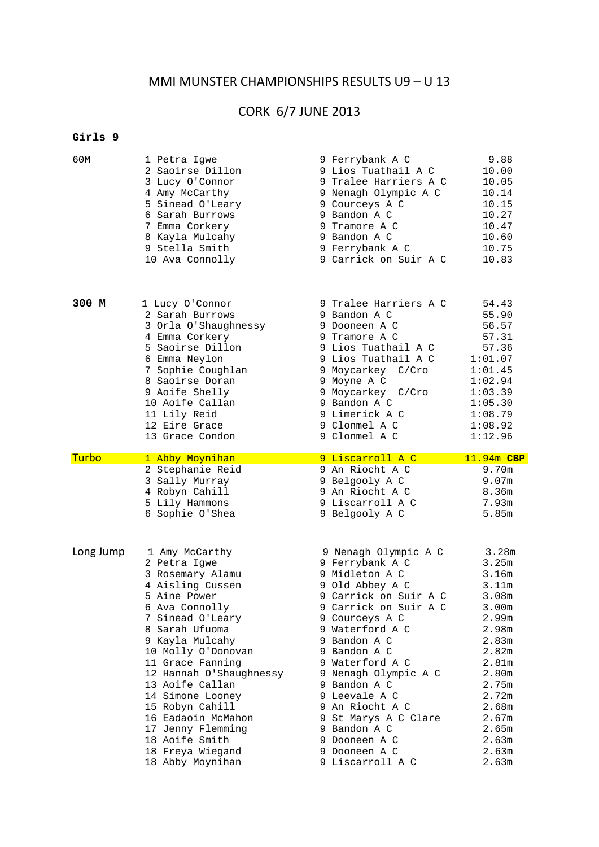## MMI MUNSTER CHAMPIONSHIPS RESULTS U9 – U 13

# CORK 6/7 JUNE 2013

#### **Girls 9**

| 60M       | 1 Petra Igwe            | 9 Ferrybank A C       | 9.88              |
|-----------|-------------------------|-----------------------|-------------------|
|           | 2 Saoirse Dillon        | 9 Lios Tuathail A C   | 10.00             |
|           | 3 Lucy O'Connor         | 9 Tralee Harriers A C | 10.05             |
|           | 4 Amy McCarthy          | 9 Nenagh Olympic A C  | 10.14             |
|           | 5 Sinead O'Leary        | 9 Courceys A C        | 10.15             |
|           | 6 Sarah Burrows         | 9 Bandon A C          | 10.27             |
|           | 7 Emma Corkery          | 9 Tramore A C         | 10.47             |
|           | 8 Kayla Mulcahy         | 9 Bandon A C          | 10.60             |
|           | 9 Stella Smith          | 9 Ferrybank A C       | 10.75             |
|           | 10 Ava Connolly         | 9 Carrick on Suir A C | 10.83             |
| 300 M     | 1 Lucy O'Connor         | 9 Tralee Harriers A C | 54.43             |
|           | 2 Sarah Burrows         | 9 Bandon A C          | 55.90             |
|           | 3 Orla O'Shaughnessy    | 9 Dooneen A C         | 56.57             |
|           | 4 Emma Corkery          | 9 Tramore A C         | 57.31             |
|           | 5 Saoirse Dillon        | 9 Lios Tuathail A C   | 57.36             |
|           | 6 Emma Neylon           | 9 Lios Tuathail A C   | 1:01.07           |
|           | 7 Sophie Coughlan       | 9 Moycarkey C/Cro     | 1:01.45           |
|           | 8 Saoirse Doran         | 9 Moyne A C           | 1:02.94           |
|           | 9 Aoife Shelly          | 9 Moycarkey C/Cro     | 1:03.39           |
|           | 10 Aoife Callan         | 9 Bandon A C          | 1:05.30           |
|           | 11 Lily Reid            | 9 Limerick A C        | 1:08.79           |
|           | 12 Eire Grace           | 9 Clonmel A C         | 1:08.92           |
|           | 13 Grace Condon         | 9 Clonmel A C         | 1:12.96           |
| Turbo     | 1 Abby Moynihan         | 9 Liscarroll A C      | 11.94m CBP        |
|           | 2 Stephanie Reid        | 9 An Riocht A C       | 9.70m             |
|           | 3 Sally Murray          | 9 Belgooly A C        | 9.07m             |
|           | 4 Robyn Cahill          | 9 An Riocht A C       | 8.36m             |
|           | 5 Lily Hammons          | 9 Liscarroll A C      | 7.93m             |
|           | 6 Sophie O'Shea         | 9 Belgooly A C        | 5.85m             |
| Long Jump | 1 Amy McCarthy          | 9 Nenagh Olympic A C  | 3.28m             |
|           | 2 Petra Igwe            | 9 Ferrybank A C       | 3.25m             |
|           | 3 Rosemary Alamu        | 9 Midleton A C        | 3.16m             |
|           | 4 Aisling Cussen        | 9 Old Abbey A C       | 3.11m             |
|           | 5 Aine Power            | 9 Carrick on Suir A C | 3.08m             |
|           | 6 Ava Connolly          | 9 Carrick on Suir A C | 3.00 <sub>m</sub> |
|           | 7 Sinead O'Leary        | 9 Courceys A C        | 2.99m             |
|           | 8 Sarah Ufuoma          | 9 Waterford A C       | 2.98m             |
|           | 9 Kayla Mulcahy         | 9 Bandon A C          | 2.83m             |
|           | 10 Molly O'Donovan      | 9 Bandon A C          | 2.82m             |
|           | 11 Grace Fanning        | 9 Waterford A C       | 2.81m             |
|           | 12 Hannah O'Shaughnessy | 9 Nenagh Olympic A C  | 2.80m             |
|           | 13 Aoife Callan         | 9 Bandon A C          | 2.75m             |
|           | 14 Simone Looney        | 9 Leevale A C         | 2.72m             |
|           | 15 Robyn Cahill         | 9 An Riocht A C       | 2.68m             |
|           | 16 Eadaoin McMahon      | 9 St Marys A C Clare  | 2.67m             |
|           | 17 Jenny Flemming       | 9 Bandon A C          | 2.65m             |
|           | 18 Aoife Smith          | 9 Dooneen A C         | 2.63m             |
|           | 18 Freya Wiegand        | 9 Dooneen A C         | 2.63m             |
|           | 18 Abby Moynihan        | 9 Liscarroll A C      | 2.63m             |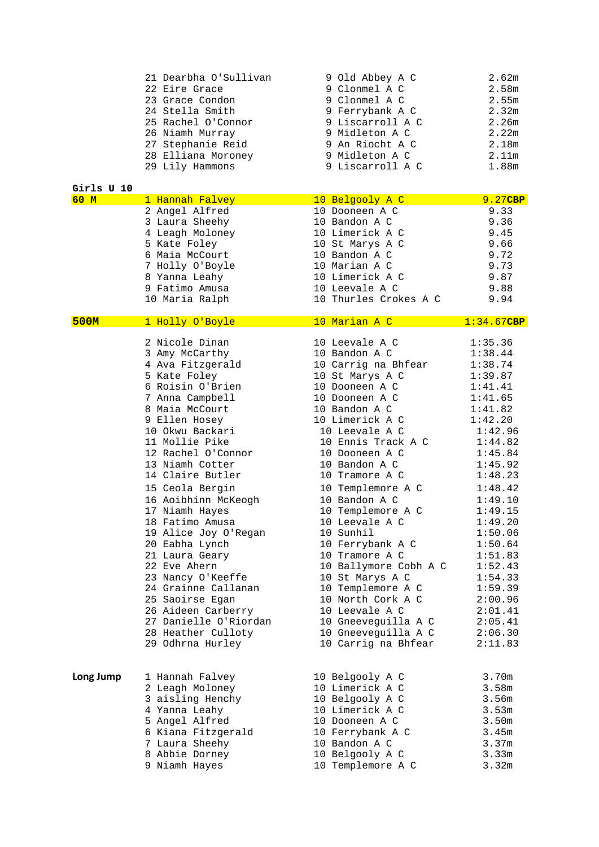|  | 21 Dearbha O'Sullivan | 9 Old Abbey A C  | 2.62m |
|--|-----------------------|------------------|-------|
|  | 22 Eire Grace         | 9 Clonmel A C    | 2.58m |
|  | 23 Grace Condon       | 9 Clonmel A C    | 2.55m |
|  | 24 Stella Smith       | 9 Ferrybank A C  | 2.32m |
|  | 25 Rachel O'Connor    | 9 Liscarroll A C | 2.26m |
|  | 26 Niamh Murray       | 9 Midleton A C   | 2.22m |
|  | 27 Stephanie Reid     | 9 An Riocht A C  | 2.18m |
|  | 28 Elliana Moroney    | 9 Midleton A C   | 2.11m |
|  | 29 Lily Hammons       | 9 Liscarroll A C | 1.88m |
|  |                       |                  |       |

#### **Girls U 10**

| 60 M      | 1 Hannah Falvey       | 10 Belgooly A C       | 9.27CBP    |
|-----------|-----------------------|-----------------------|------------|
|           | 2 Angel Alfred        | 10 Dooneen A C        | 9.33       |
|           | 3 Laura Sheehy        | 10 Bandon A C         | 9.36       |
|           | 4 Leagh Moloney       | 10 Limerick A C       | 9.45       |
|           | 5 Kate Foley          | 10 St Marys A C       | 9.66       |
|           | 6 Maia McCourt        | 10 Bandon A C         | 9.72       |
|           | 7 Holly O'Boyle       | 10 Marian A C         | 9.73       |
|           | 8 Yanna Leahy         | 10 Limerick A C       | 9.87       |
|           | 9 Fatimo Amusa        | 10 Leevale A C        | 9.88       |
|           | 10 Maria Ralph        | 10 Thurles Crokes A C | 9.94       |
| 500M      | 1 Holly O'Boyle       | 10 Marian A C         | 1:34.67CBP |
|           |                       |                       |            |
|           | 2 Nicole Dinan        | 10 Leevale A C        | 1:35.36    |
|           | 3 Amy McCarthy        | 10 Bandon A C         | 1:38.44    |
|           | 4 Ava Fitzgerald      | 10 Carrig na Bhfear   | 1:38.74    |
|           | 5 Kate Foley          | 10 St Marys A C       | 1:39.87    |
|           | 6 Roisin O'Brien      | 10 Dooneen A C        | 1:41.41    |
|           | 7 Anna Campbell       | 10 Dooneen A C        | 1:41.65    |
|           | 8 Maia McCourt        | 10 Bandon A C         | 1:41.82    |
|           | 9 Ellen Hosey         | 10 Limerick A C       | 1:42.20    |
|           | 10 Okwu Backari       | 10 Leevale A C        | 1:42.96    |
|           | 11 Mollie Pike        | 10 Ennis Track A C    | 1:44.82    |
|           | 12 Rachel O'Connor    | 10 Dooneen A C        | 1:45.84    |
|           | 13 Niamh Cotter       | 10 Bandon A C         | 1:45.92    |
|           | 14 Claire Butler      | 10 Tramore A C        | 1:48.23    |
|           | 15 Ceola Bergin       | 10 Templemore A C     | 1:48.42    |
|           | 16 Aoibhinn McKeogh   | 10 Bandon A C         | 1:49.10    |
|           | 17 Niamh Hayes        | 10 Templemore A C     | 1:49.15    |
|           | 18 Fatimo Amusa       | 10 Leevale A C        | 1:49.20    |
|           | 19 Alice Joy O'Regan  | 10 Sunhil             | 1:50.06    |
|           | 20 Eabha Lynch        | 10 Ferrybank A C      | 1:50.64    |
|           | 21 Laura Geary        | 10 Tramore A C        | 1:51.83    |
|           | 22 Eve Ahern          | 10 Ballymore Cobh A C | 1:52.43    |
|           | 23 Nancy O'Keeffe     | 10 St Marys A C       | 1:54.33    |
|           | 24 Grainne Callanan   | 10 Templemore A C     | 1:59.39    |
|           | 25 Saoirse Egan       | 10 North Cork A C     | 2:00.96    |
|           | 26 Aideen Carberry    | 10 Leevale A C        | 2:01.41    |
|           | 27 Danielle O'Riordan | 10 Gneeveguilla A C   | 2:05.41    |
|           | 28 Heather Culloty    | 10 Gneeveguilla A C   | 2:06.30    |
|           | 29 Odhrna Hurley      | 10 Carrig na Bhfear   | 2:11.83    |
|           |                       |                       |            |
| Long Jump | 1 Hannah Falvey       | 10 Belgooly A C       | 3.70m      |
|           | 2 Leagh Moloney       | 10 Limerick A C       | 3.58m      |
|           | 3 aisling Henchy      | 10 Belgooly A C       | 3.56m      |
|           | 4 Yanna Leahy         | 10 Limerick A C       | 3.53m      |
|           | 5 Angel Alfred        | 10 Dooneen A C        | 3.50m      |
|           | 6 Kiana Fitzgerald    | 10 Ferrybank A C      | 3.45m      |
|           | 7 Laura Sheehy        | 10 Bandon A C         | 3.37m      |
|           | 8 Abbie Dorney        | 10 Belgooly A C       | 3.33m      |
|           | 9 Niamh Hayes         | 10 Templemore A C     | 3.32m      |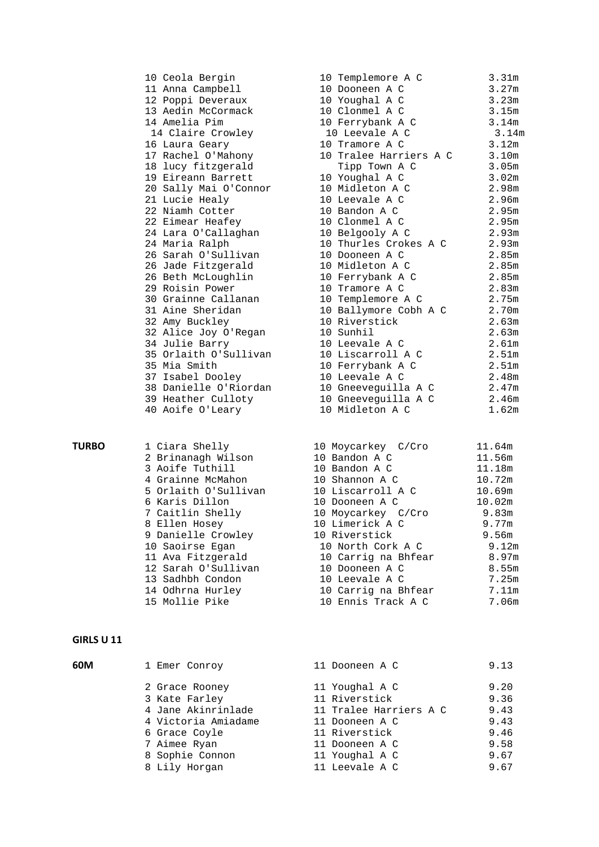| 10 Ceola Bergin       | 10 Templemore A C      | 3.31 <sub>m</sub> |
|-----------------------|------------------------|-------------------|
| 11 Anna Campbell      | 10 Dooneen A C         | 3.27m             |
| 12 Poppi Deveraux     | 10 Youghal A C         | 3.23m             |
| 13 Aedin McCormack    | 10 Clonmel A C         | 3.15m             |
| 14 Amelia Pim         | 10 Ferrybank A C       | 3.14m             |
| 14 Claire Crowley     | 10 Leevale A C         | 3.14m             |
| 16 Laura Geary        | 10 Tramore A C         | 3.12m             |
| 17 Rachel O'Mahony    | 10 Tralee Harriers A C | 3.10m             |
| 18 lucy fitzgerald    | Tipp Town A C          | 3.05m             |
| 19 Eireann Barrett    | 10 Youghal A C         | 3.02m             |
| 20 Sally Mai O'Connor | 10 Midleton A C        | 2.98m             |
| 21 Lucie Healy        | 10 Leevale A C         | 2.96m             |
| 22 Niamh Cotter       | 10 Bandon A C          | 2.95m             |
| 22 Eimear Heafey      | 10 Clonmel A C         | 2.95m             |
| 24 Lara O'Callaghan   | 10 Belgooly A C        | 2.93m             |
| 24 Maria Ralph        | 10 Thurles Crokes A C  | 2.93m             |
| 26 Sarah O'Sullivan   | 10 Dooneen A C         | 2.85m             |
| 26 Jade Fitzgerald    | 10 Midleton A C        | 2.85m             |
| 26 Beth McLoughlin    | 10 Ferrybank A C       | 2.85m             |
| 29 Roisin Power       | 10 Tramore A C         | 2.83m             |
| 30 Grainne Callanan   | 10 Templemore A C      | 2.75m             |
| 31 Aine Sheridan      | 10 Ballymore Cobh A C  | 2.70m             |
| 32 Amy Buckley        | 10 Riverstick          | 2.63m             |
| 32 Alice Joy O'Regan  | 10 Sunhil              | 2.63m             |
| 34 Julie Barry        | 10 Leevale A C         | 2.61m             |
| 35 Orlaith O'Sullivan | 10 Liscarroll A C      | 2.51 <sub>m</sub> |
| 35 Mia Smith          | 10 Ferrybank A C       | 2.51 <sub>m</sub> |
| 37 Isabel Dooley      | 10 Leevale A C         | 2.48m             |
| 38 Danielle O'Riordan | 10 Gneeveguilla A C    | 2.47m             |
| 39 Heather Culloty    | 10 Gneeveguilla A C    | 2.46m             |
| 40 Aoife O'Leary      | 10 Midleton A C        | 1.62m             |
|                       |                        |                   |

|  | l Ciara Shelly       |
|--|----------------------|
|  | 2 Brinanagh Wilson   |
|  | 3 Aoife Tuthill      |
|  | 4 Grainne McMahon    |
|  | 5 Orlaith O'Sullivan |
|  | 6 Karis Dillon       |
|  | 7 Caitlin Shelly     |
|  | 8 Ellen Hosey        |
|  | 9 Danielle Crowley   |
|  | 10 Saoirse Egan      |
|  | 11 Ava Fitzgerald    |
|  | 12 Sarah O'Sullivan  |
|  | 13 Sadhbh Condon     |
|  | 14 Odhrna Hurley     |
|  | 15 Mollie Pike       |
|  |                      |

#### **GIRLS U 11**

| 60M | 1 Emer Conroy       | 11 Dooneen A C         | 9.13 |  |
|-----|---------------------|------------------------|------|--|
|     | 2 Grace Rooney      | 11 Youghal A C         | 9.20 |  |
|     | 3 Kate Farley       | 11 Riverstick          | 9.36 |  |
|     | 4 Jane Akinrinlade  | 11 Tralee Harriers A C | 9.43 |  |
|     | 4 Victoria Amiadame | 11 Dooneen A C         | 9.43 |  |
|     | 6 Grace Coyle       | 11 Riverstick          | 9.46 |  |
|     | 7 Aimee Ryan        | 11 Dooneen A C         | 9.58 |  |
|     | 8 Sophie Connon     | 11 Youghal A C         | 9.67 |  |
|     | 8 Lily Horgan       | 11 Leevale A C         | 9.67 |  |
|     |                     |                        |      |  |

| IN CENTA DETÀTII                                                     | TO TEMPTEMOTE H C                                   | $3.3 + 111$ |
|----------------------------------------------------------------------|-----------------------------------------------------|-------------|
| 11 Anna Campbell                                                     | 10 Dooneen A C                                      | 3.27m       |
|                                                                      |                                                     |             |
|                                                                      |                                                     |             |
| 14 Amelia Pim                                                        | 10 Ferrybank A C 3.14m                              |             |
| 14 Claire Crowley 10 Leevale A C 3.14m                               |                                                     |             |
| 16 Laura Geary                                                       | 3.12m<br>10 Tramore A C                             |             |
| 17 Rachel O'Mahony                                                   | 10 Tralee Harriers A C 3.10m                        |             |
| 18 lucy fitzgerald                                                   | 3.05m<br>Tipp Town A C                              |             |
| 19 Eireann Barrett                                                   | 10 Youghal A C<br>3.02m                             |             |
| 20 Sally Mai O'Connor 10 Midleton A C 2.98m                          |                                                     |             |
| 21 Lucie Healy 10 Leevale A C                                        |                                                     | 2.96m       |
| 22 Niamh Cotter                                                      | 10 Bandon A C<br>2.95m                              |             |
|                                                                      | 10 Clonmel A C 2.95m                                |             |
|                                                                      | 2.93m                                               |             |
| 24 Maria Ralph                                                       | 10 Thurles Crokes A C 2.93m<br>10 Dooneen A C 2.85m |             |
| 26 Sarah O'Sullivan               10 Dooneen A C                     |                                                     |             |
| 26 Jade Fitzgerald 10 Midleton A C 2.85m                             |                                                     |             |
| 26 Beth McLoughlin 10 Ferrybank A C                                  |                                                     | 2.85m       |
| 29 Roisin Power                                                      | 2.83m<br>10 Tramore A C                             |             |
| 30 Grainne Callanan 10 Templemore A C                                | 2.75m                                               |             |
| 31 Aine Sheridan                 10 Ballymore Cobh A C         2.70m |                                                     |             |
| 32 Amy Buckley                                                       | $2.63m$<br>$2.63m$<br>10 Riverstick                 |             |
| 32 Aniy Buchicy<br>32 Alice Joy O'Regan 10 Sunhil                    |                                                     |             |
| 34 Julie Barry 10 Leevale A C                                        |                                                     |             |
|                                                                      |                                                     |             |
| 35 Mia Smith                                                         | 10 Ferrybank A C 2.51m                              |             |
| 37 Isabel Dooley                                                     | 10 Leevale A C                                      | 2.48m       |
| 38 Danielle O'Riordan 10 Gneeveguilla A C 2.47m                      |                                                     |             |
| 39 Heather Culloty 10 Gneeveguilla A C 2.46m                         |                                                     |             |
| 40 Aoife O'Leary                                                     | 10 Midleton A C                                     | 1.62m       |
|                                                                      |                                                     |             |

| <b>TURBO</b> | 1 Ciara Shelly       | 10 Moycarkey C/Cro  | 11.64m |
|--------------|----------------------|---------------------|--------|
|              | 2 Brinanagh Wilson   | 10 Bandon A C       | 11.56m |
|              | 3 Aoife Tuthill      | 10 Bandon A C       | 11.18m |
|              | 4 Grainne McMahon    | 10 Shannon A C      | 10.72m |
|              | 5 Orlaith O'Sullivan | 10 Liscarroll A C   | 10.69m |
|              | 6 Karis Dillon       | 10 Dooneen A C      | 10.02m |
|              | 7 Caitlin Shelly     | 10 Moycarkey C/Cro  | 9.83m  |
|              | 8 Ellen Hosey        | 10 Limerick A C     | 9.77m  |
|              | 9 Danielle Crowley   | 10 Riverstick       | 9.56m  |
|              | 10 Saoirse Egan      | 10 North Cork A C   | 9.12m  |
|              | 11 Ava Fitzgerald    | 10 Carrig na Bhfear | 8.97m  |
|              | 12 Sarah O'Sullivan  | 10 Dooneen A C      | 8.55m  |
|              | 13 Sadhbh Condon     | 10 Leevale A C      | 7.25m  |
|              | 14 Odhrna Hurley     | 10 Carrig na Bhfear | 7.11m  |
|              | 15 Mollie Pike       | 10 Ennis Track A C  | 7.06m  |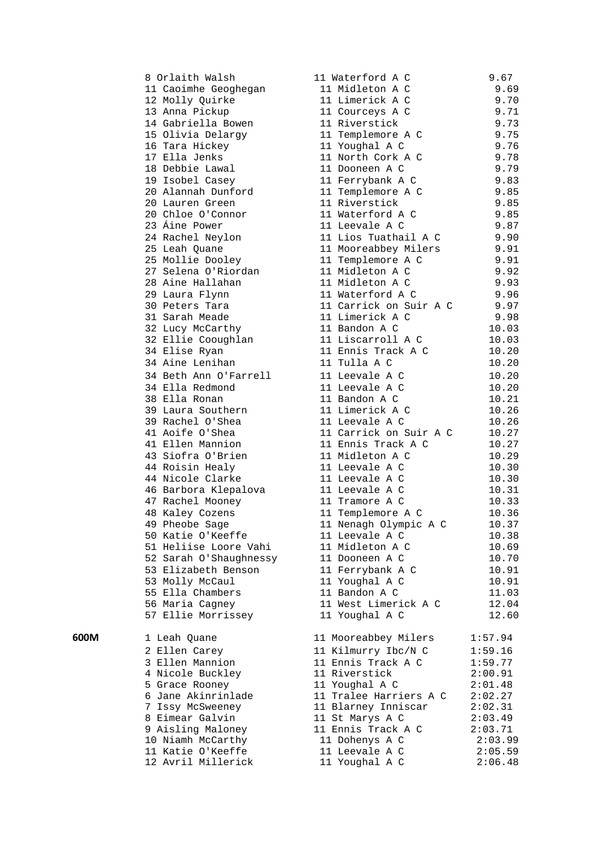8 Orlaith Walsh 11 Waterford A C 9.67 11 Caoimhe Geoghegan 11 Midleton A C 9.69 12 Molly Quirke 11 Limerick A C 9.70 13 Anna Pickup 11 Courceys A C 9.71 14 Gabriella Bowen 11 Riverstick 9.73 15 Olivia Delargy 11 Templemore A C 9.75 16 Tara Hickey 11 Youghal A C 9.76 17 Ella Jenks 11 North Cork A C 9.78 18 Debbie Lawal 11 Dooneen A C 9.79 19 Isobel Casey 11 Ferrybank A C 9.83 20 Alannah Dunford 11 Templemore A C 9.85 20 Lauren Green 11 Riverstick 9.85 20 Chloe O'Connor 11 Waterford A C 9.85 23 Áine Power 11 Leevale A C 9.87 24 Rachel Neylon 11 Lios Tuathail A C 9.90 25 Leah Quane 11 Mooreabbey Milers 9.91 25 Mollie Dooley 11 Templemore A C 9.91 27 Selena O'Riordan 11 Midleton A C 9.92 28 Aine Hallahan 11 Midleton A C 9.93 29 Laura Flynn 11 Waterford A C 9.96 30 Peters Tara 11 Carrick on Suir A C 9.97 31 Sarah Meade 11 Limerick A C 9.98 32 Lucy McCarthy 11 Bandon A C 10.03 32 Ellie Cooughlan 11 Liscarroll A C 10.03 34 Elise Ryan 11 Ennis Track A C 10.20 34 Aine Lenihan 11 Tulla A C 10.20 34 Beth Ann O'Farrell 11 Leevale A C 10.20 34 Ella Redmond 11 Leevale A C 10.20 38 Ella Ronan 11 Bandon A C 10.21 39 Laura Southern 11 Limerick A C 10.26 39 Rachel O'Shea 11 Leevale A C 10.26 41 Aoife O'Shea 11 Carrick on Suir A C 10.27 41 Ellen Mannion 11 Ennis Track A C 10.27 43 Siofra O'Brien 11 Midleton A C 10.29 44 Roisin Healy 11 Leevale A C 10.30 44 Nicole Clarke 11 Leevale A C 10.30 46 Barbora Klepalova 11 Leevale A C 10.31 47 Rachel Mooney 11 Tramore A C 10.33 48 Kaley Cozens 11 Templemore A C 10.36 49 Pheobe Sage 11 Nenagh Olympic A C 10.37 50 Katie O'Keeffe 11 Leevale A C 10.38 51 Heliise Loore Vahi 11 Midleton A C 10.69 52 Sarah O'Shaughnessy 11 Dooneen A C 10.70 53 Elizabeth Benson 11 Ferrybank A C 10.91 53 Molly McCaul 11 Youghal A C 10.91 55 Ella Chambers 11 Bandon A C 11.03 56 Maria Cagney 11 West Limerick A C 12.04 57 Ellie Morrissey 11 Youghal A C 12.60 **600M** 1 Leah Quane 11 Mooreabbey Milers 1:57.94 2 Ellen Carey 11 Kilmurry Ibc/N C 1:59.16 3 Ellen Mannion 11 Ennis Track A C 1:59.77 4 Nicole Buckley 11 Riverstick 2:00.91 5 Grace Rooney 11 Youghal A C 2:01.48 6 Jane Akinrinlade 11 Tralee Harriers A C 2:02.27 7 Issy McSweeney 11 Blarney Inniscar 2:02.31 8 Eimear Galvin 11 St Marys A C 2:03.49 9 Aisling Maloney 11 Ennis Track A C 2:03.71 10 Niamh McCarthy 11 Dohenys A C 2:03.99 11 Katie O'Keeffe 11 Leevale A C 2:05.59 12 Avril Millerick 11 Youghal A C 2:06.48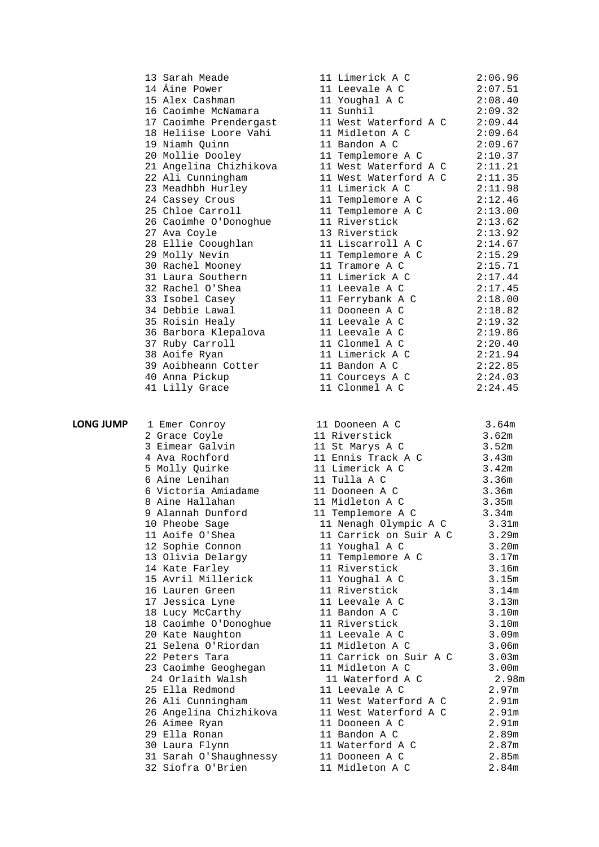|   | 13 Sarah Meade<br>14 Áine Power<br>15 Alex Cashman<br>16 Caoimhe McNamara<br>17 Caoimhe Prendergast<br>18 Heliise Loore Vahi<br>19 Niamh Quinn<br>20 Mollie Dooley<br>21 Angelina Chizhikova<br>22 Ali Cunningham<br>23 Meadhbh Hurley<br>24 Cassey Crous<br>25 Chloe Carroll<br>26 Caoimhe O'Donoghue<br>27 Ava Coyle<br>28 Ellie Cooughlan<br>29 Molly Nevin<br>30 Rachel Mooney<br>31 Laura Southern<br>32 Rachel O'Shea<br>33 Isobel Casey<br>34 Debbie Lawal<br>35 Roisin Healy<br>36 Barbora Klepalova<br>37 Ruby Carroll<br>38 Aoife Ryan<br>39 Aoibheann Cotter<br>40 Anna Pickup<br>41 Lilly Grace |
|---|-------------------------------------------------------------------------------------------------------------------------------------------------------------------------------------------------------------------------------------------------------------------------------------------------------------------------------------------------------------------------------------------------------------------------------------------------------------------------------------------------------------------------------------------------------------------------------------------------------------|
| ⋗ | 1 Emer Conroy<br>2 Grace Coyle<br>3 Eimear Galvin<br>4 Ava Rochford<br>5 Molly Quirke<br>6 Aine Lenihan<br>6 Victoria Amiadame<br>8 Aine Hallahan<br>9 Alannah Dunford<br>10 Pheobe Sage<br>11 Aoife O'Shea<br>12 Sophie Connon<br>13 Olivia Delargy<br>14 Kate Farley<br>15 Avril Millerick<br>16 Lauren Green<br>17 Jessica Lyne<br>18<br>Lucy McCarthy<br>18 Caoimhe O'Donoghue<br>20 Kate Naughton<br>21 Selena O'Riordan<br>22 Peters Tara<br>23 Caoimhe Geoghegan<br>24 Orlaith Walsh<br>25 Ella Redmond<br>26 Ali Cunningham<br>26 Angelina Chizhikova<br>26 Aimee Ryan<br>29 Ella Ronan             |

| 13 Sarah Meade         | 11 Limerick A C       | 2:06.96 |
|------------------------|-----------------------|---------|
| 14 Áine Power          | 11 Leevale A C        | 2:07.51 |
| 15 Alex Cashman        | 11 Youghal A C        | 2:08.40 |
| 16 Caoimhe McNamara    | 11 Sunhil             | 2:09.32 |
| 17 Caoimhe Prendergast | 11 West Waterford A C | 2:09.44 |
| 18 Heliise Loore Vahi  | 11 Midleton A C       | 2:09.64 |
| 19 Niamh Ouinn         | 11 Bandon A C         | 2:09.67 |
| 20 Mollie Dooley       | 11 Templemore A C     | 2:10.37 |
| 21 Angelina Chizhikova | 11 West Waterford A C | 2:11.21 |
| 22 Ali Cunningham      | 11 West Waterford A C | 2:11.35 |
| 23 Meadhbh Hurley      | 11 Limerick A C       | 2:11.98 |
| 24 Cassey Crous        | 11 Templemore A C     | 2:12.46 |
| 25 Chloe Carroll       | 11 Templemore A C     | 2:13.00 |
| 26 Caoimhe O'Donoghue  | 11 Riverstick         | 2:13.62 |
| 27 Ava Coyle           | 13 Riverstick         | 2:13.92 |
| 28 Ellie Cooughlan     | 11 Liscarroll A C     | 2:14.67 |
| 29 Molly Nevin         | 11 Templemore A C     | 2:15.29 |
| 30 Rachel Mooney       | 11 Tramore A C        | 2:15.71 |
| 31 Laura Southern      | 11 Limerick A C       | 2:17.44 |
| 32 Rachel O'Shea       | 11 Leevale A C        | 2:17.45 |
| 33 Isobel Casey        | 11 Ferrybank A C      | 2:18.00 |
| 34 Debbie Lawal        | 11 Dooneen A C        | 2:18.82 |
| 35 Roisin Healy        | 11 Leevale A C        | 2:19.32 |
| 36 Barbora Klepalova   | 11 Leevale A C        | 2:19.86 |
| 37 Ruby Carroll        | 11 Clonmel A C        | 2:20.40 |
| 38 Aoife Ryan          | 11 Limerick A C       | 2:21.94 |
| 39 Aoibheann Cotter    | 11 Bandon A C         | 2:22.85 |
| 40 Anna Pickup         | 11 Courceys A C       | 2:24.03 |
| 41 Lilly Grace         | 11 Clonmel A C        | 2:24.45 |
|                        |                       |         |

|                |                                                                                                                                                                                                     | 3.64m |  |
|----------------|-----------------------------------------------------------------------------------------------------------------------------------------------------------------------------------------------------|-------|--|
|                | 1 Emer Conroy 11 Dooneen A C 3.64m<br>2 Grace Coyle 11 Riverstick 3.62m                                                                                                                             |       |  |
|                |                                                                                                                                                                                                     |       |  |
|                |                                                                                                                                                                                                     |       |  |
|                |                                                                                                                                                                                                     |       |  |
|                |                                                                                                                                                                                                     |       |  |
|                |                                                                                                                                                                                                     |       |  |
|                |                                                                                                                                                                                                     |       |  |
|                |                                                                                                                                                                                                     |       |  |
|                |                                                                                                                                                                                                     |       |  |
|                | 9 Alannah Dunford 11 Templemore A C 3.34m<br>10 Pheobe Sage 11 Nenagh Olympic A C 3.31m<br>11 Aoife O'Shea 11 Carrick on Suir A C 3.29m                                                             |       |  |
|                |                                                                                                                                                                                                     |       |  |
|                |                                                                                                                                                                                                     |       |  |
|                |                                                                                                                                                                                                     |       |  |
|                |                                                                                                                                                                                                     |       |  |
|                |                                                                                                                                                                                                     |       |  |
|                | 17 Jessica Lyne                         11 Leevale A C                   3.13m                                                                                                                      |       |  |
|                | 18 Lucy McCarthy 11 Bevale A C<br>18 Lucy McCarthy 11 Bandon A C<br>18 Caoimhe O'Donoghue 11 Riverstick 3.10m<br>20 Kate Naughton 11 Leevale A C 3.09m<br>21 Selena O'Riordan 11 Midleton A C 3.06m |       |  |
|                |                                                                                                                                                                                                     |       |  |
|                |                                                                                                                                                                                                     |       |  |
|                |                                                                                                                                                                                                     |       |  |
| 22 Peters Tara | 11 Carrick on Suir A C 3.03m                                                                                                                                                                        |       |  |
|                |                                                                                                                                                                                                     |       |  |
|                |                                                                                                                                                                                                     |       |  |
|                |                                                                                                                                                                                                     |       |  |
|                |                                                                                                                                                                                                     |       |  |
|                |                                                                                                                                                                                                     |       |  |
|                |                                                                                                                                                                                                     |       |  |
|                |                                                                                                                                                                                                     |       |  |
|                |                                                                                                                                                                                                     |       |  |
|                |                                                                                                                                                                                                     |       |  |
|                |                                                                                                                                                                                                     |       |  |

**LONG JUMP** 

- 
-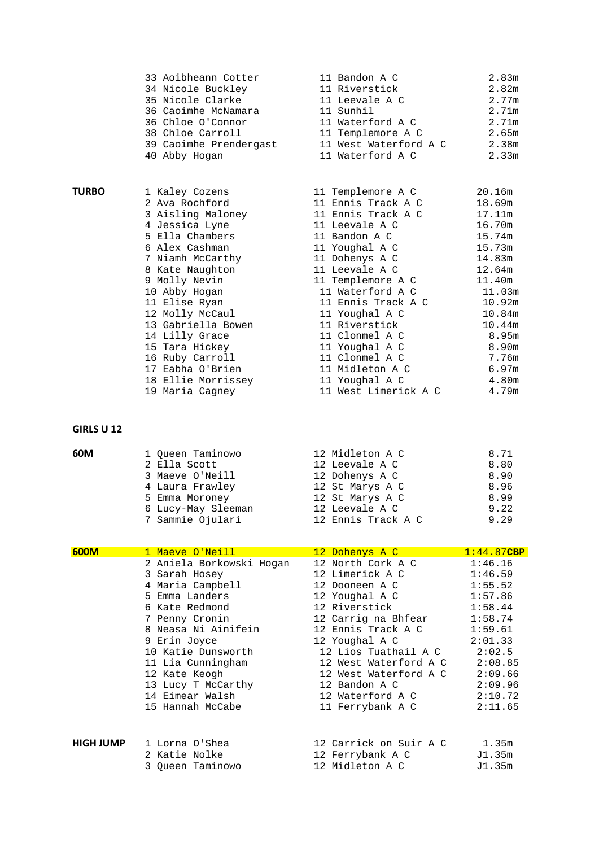|       | 33 Aoibheann Cotter    | 11 Bandon A C         | 2.83m             |  |
|-------|------------------------|-----------------------|-------------------|--|
|       | 34 Nicole Buckley      | 11 Riverstick         | 2.82m             |  |
|       | 35 Nicole Clarke       | 11 Leevale A C        | 2.77m             |  |
|       | 36 Caoimhe McNamara    | 11 Sunhil             | 2.71m             |  |
|       | 36 Chloe O'Connor      | 11 Waterford A C      | 2.71m             |  |
|       | 38 Chloe Carroll       | 11 Templemore A C     | 2.65m             |  |
|       | 39 Caoimhe Prendergast | 11 West Waterford A C | 2.38m             |  |
|       | 40 Abby Hogan          | 11 Waterford A C      | 2.33 <sub>m</sub> |  |
|       |                        |                       |                   |  |
| TURBO | 1 Kaley Cozens         | 11 Templemore A C     | 20.16m            |  |
|       | 2 Ava Rochford         | 11 Ennis Track A C    | 18.69m            |  |
|       | 3 Aisling Maloney      | 11 Ennis Track A C    | 17.11m            |  |
|       | 4 Jessica Lyne         | 11 Leevale A C        | 16.70m            |  |
|       | 5 Ella Chambers        | 11 Bandon A C         | 15.74m            |  |
|       | 6 Alex Cashman         | 11 Youghal A C        | 15.73m            |  |
|       | 7 Niamh McCarthy       | 11 Dohenys A C        | 14.83m            |  |
|       | 8 Kate Naughton        | 11 Leevale A C        | 12.64m            |  |
|       | 9 Molly Nevin          | 11 Templemore A C     | 11.40m            |  |
|       | 10 Abby Hogan          | 11 Waterford A C      | 11.03m            |  |
|       | 11 Elise Ryan          | 11 Ennis Track A C    | 10.92m            |  |
|       | 12 Molly McCaul        | 11 Youghal A C        | 10.84m            |  |
|       | 13 Gabriella Bowen     | 11 Riverstick         | 10.44m            |  |
|       | 14 Lilly Grace         | 11 Clonmel A C        | 8.95m             |  |
|       | 15 Tara Hickey         | 11 Youghal A C        | 8.90m             |  |
|       | 16 Ruby Carroll        | 11 Clonmel A C        | 7.76m             |  |
|       | 17 Eabha O'Brien       | 11 Midleton A C       | 6.97m             |  |
|       | 18 Ellie Morrissey     | 11 Youghal A C        | 4.80m             |  |
|       | 19 Maria Cagney        | 11 West Limerick A C  | 4.79m             |  |
|       |                        |                       |                   |  |

### **GIRLS U 12**

| 60M | 1 Queen Taminowo   | 12 Midleton A C    | 8.71 |  |
|-----|--------------------|--------------------|------|--|
|     | 2 Ella Scott       | 12 Leevale A C     | 8.80 |  |
|     | 3 Maeve O'Neill    | 12 Dohenys A C     | 8.90 |  |
|     | 4 Laura Frawley    | 12 St Marys A C    | 8.96 |  |
|     | 5 Emma Moroney     | 12 St Marys A C    | 8.99 |  |
|     | 6 Lucy-May Sleeman | 12 Leevale A C     | 9.22 |  |
|     | 7 Sammie Ojulari   | 12 Ennis Track A C | 9.29 |  |
|     |                    |                    |      |  |

| 600M      | 1 Maeve O'Neill          | 12 Dohenys A C         | $1:44.87$ CBP |
|-----------|--------------------------|------------------------|---------------|
|           | 2 Aniela Borkowski Hogan | 12 North Cork A C      | 1:46.16       |
|           | 3 Sarah Hosey            | 12 Limerick A C        | 1:46.59       |
|           | 4 Maria Campbell         | 12 Dooneen A C         | 1:55.52       |
|           | 5 Emma Landers           | 12 Youghal A C         | 1:57.86       |
|           | 6 Kate Redmond           | 12 Riverstick          | 1:58.44       |
|           | 7 Penny Cronin           | 12 Carrig na Bhfear    | 1:58.74       |
|           | 8 Neasa Ni Ainifein      | 12 Ennis Track A C     | 1:59.61       |
|           | 9 Erin Joyce             | 12 Youghal A C         | 2:01.33       |
|           | 10 Katie Dunsworth       | 12 Lios Tuathail A C   | 2:02.5        |
|           | 11 Lia Cunningham        | 12 West Waterford A C  | 2:08.85       |
|           | 12 Kate Keogh            | 12 West Waterford A C  | 2:09.66       |
|           | 13 Lucy T McCarthy       | 12 Bandon A C          | 2:09.96       |
|           | 14 Eimear Walsh          | 12 Waterford A C       | 2:10.72       |
|           | 15 Hannah McCabe         | 11 Ferrybank A C       | 2:11.65       |
|           |                          |                        |               |
| HIGH JUMP | 1 Lorna O'Shea           | 12 Carrick on Suir A C | 1.35m         |
|           | 2 Katie Nolke            | 12 Ferrybank A C       | J1.35m        |
|           | 3 Oueen Taminowo         | 12 Midleton A C        | J1.35m        |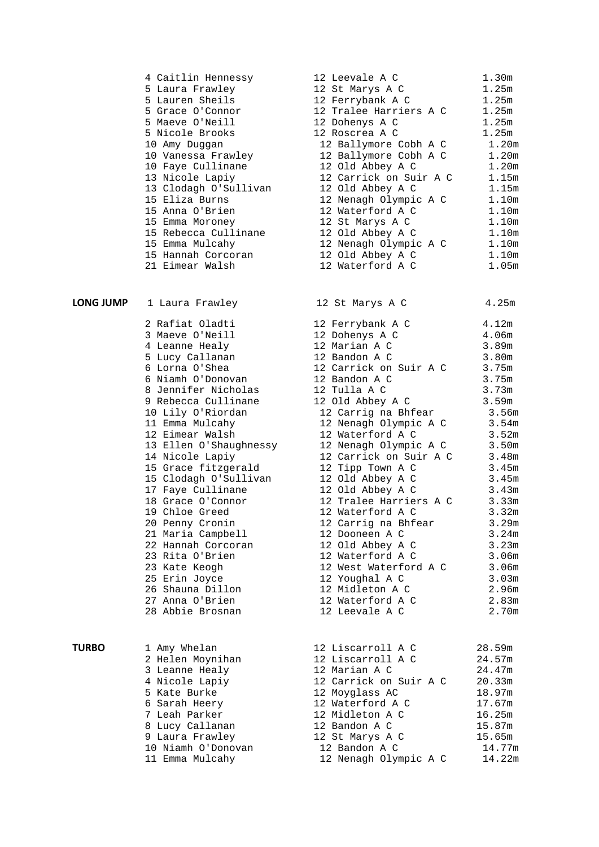|                  | 4 Caitlin Hennessy     | 12 Leevale A C         | 1.30m             |
|------------------|------------------------|------------------------|-------------------|
|                  | 5 Laura Frawley        | 12 St Marys A C        | 1.25m             |
|                  | 5 Lauren Sheils        | 12 Ferrybank A C       | 1.25m             |
|                  | 5 Grace O'Connor       | 12 Tralee Harriers A C | 1.25m             |
|                  | 5 Maeve O'Neill        | 12 Dohenys A C         | 1.25m             |
|                  | 5 Nicole Brooks        | 12 Roscrea A C         | 1.25m             |
|                  | 10 Amy Duggan          | 12 Ballymore Cobh A C  | 1.20m             |
|                  | 10 Vanessa Frawley     | 12 Ballymore Cobh A C  | 1.20 <sub>m</sub> |
|                  | 10 Faye Cullinane      | 12 Old Abbey A C       | 1.20 <sub>m</sub> |
|                  | 13 Nicole Lapiy        | 12 Carrick on Suir A C | 1.15m             |
|                  | 13 Clodagh O'Sullivan  | 12 Old Abbey A C       | 1.15m             |
|                  | 15 Eliza Burns         | 12 Nenagh Olympic A C  | 1.10m             |
|                  | 15 Anna O'Brien        | 12 Waterford A C       | 1.10m             |
|                  | 15 Emma Moroney        | 12 St Marys A C        | 1.10m             |
|                  | 15 Rebecca Cullinane   | 12 Old Abbey A C       | 1.10 <sub>m</sub> |
|                  | 15 Emma Mulcahy        | 12 Nenagh Olympic A C  | 1.10 <sub>m</sub> |
|                  | 15 Hannah Corcoran     | 12 Old Abbey A C       | 1.10 <sub>m</sub> |
|                  | 21 Eimear Walsh        | 12 Waterford A C       | 1.05 <sub>m</sub> |
| <b>LONG JUMP</b> | 1 Laura Frawley        | 12 St Marys A C        | 4.25m             |
|                  | 2 Rafiat Oladti        | 12 Ferrybank A C       | 4.12 <sub>m</sub> |
|                  | 3 Maeve O'Neill        | 12 Dohenys A C         | 4.06m             |
|                  | 4 Leanne Healy         | 12 Marian A C          | 3.89m             |
|                  | 5 Lucy Callanan        | 12 Bandon A C          | 3.80m             |
|                  | 6 Lorna O'Shea         | 12 Carrick on Suir A C | 3.75m             |
|                  | 6 Niamh O'Donovan      | 12 Bandon A C          | 3.75m             |
|                  | 8 Jennifer Nicholas    | 12 Tulla A C           | 3.73m             |
|                  | 9 Rebecca Cullinane    | 12 Old Abbey A C       | 3.59m             |
|                  | 10 Lily O'Riordan      | 12 Carrig na Bhfear    | 3.56m             |
|                  | 11 Emma Mulcahy        | 12 Nenagh Olympic A C  | 3.54m             |
|                  | 12 Eimear Walsh        | 12 Waterford A C       | 3.52m             |
|                  | 13 Ellen O'Shaughnessy | 12 Nenagh Olympic A C  | 3.50m             |
|                  | 14 Nicole Lapiy        | 12 Carrick on Suir A C | 3.48m             |
|                  | 15 Grace fitzgerald    | 12 Tipp Town A C       | 3.45m             |
|                  | 15 Clodagh O'Sullivan  | 12 Old Abbey A C       | 3.45m             |
|                  | 17 Faye Cullinane      | 12 Old Abbey A C       | 3.43m             |
|                  | 18 Grace O'Connor      | 12 Tralee Harriers A C | 3.33m             |
|                  | 19 Chloe Greed         | 12 Waterford A C       | 3.32m             |
|                  | 20 Penny Cronin        | 12 Carrig na Bhfear    | 3.29m             |
|                  | 21 Maria Campbell      | 12 Dooneen A C         | 3.24m             |
|                  | 22 Hannah Corcoran     | 12 Old Abbey A C       | 3.23m             |
|                  | 23 Rita O'Brien        | 12 Waterford A C       | 3.06m             |
|                  | 23 Kate Keogh          | 12 West Waterford A C  | 3.06 <sub>m</sub> |
|                  | 25 Erin Joyce          | 12 Youghal A C         | 3.03m             |
|                  | 26 Shauna Dillon       | 12 Midleton A C        | 2.96m             |
|                  | 27 Anna O'Brien        | 12 Waterford A C       | 2.83m             |
|                  | 28 Abbie Brosnan       | 12 Leevale A C         | 2.70m             |
| <b>TURBO</b>     | 1 Amy Whelan           | 12 Liscarroll A C      | 28.59m            |
|                  | 2 Helen Moynihan       | 12 Liscarroll A C      | 24.57m            |
|                  | 3 Leanne Healy         | 12 Marian A C          | 24.47m            |
|                  | 4 Nicole Lapiy         | 12 Carrick on Suir A C | 20.33m            |
|                  | 5 Kate Burke           | 12 Moyglass AC         | 18.97m            |
|                  | 6 Sarah Heery          | 12 Waterford A C       | 17.67m            |
|                  | 7 Leah Parker          | 12 Midleton A C        | 16.25m            |
|                  | 8 Lucy Callanan        | 12 Bandon A C          | 15.87m            |
|                  | 9 Laura Frawley        | 12 St Marys A C        | 15.65m            |
|                  | 10 Niamh O'Donovan     | 12 Bandon A C          | 14.77m            |
|                  | 11 Emma Mulcahy        | 12 Nenagh Olympic A C  | 14.22m            |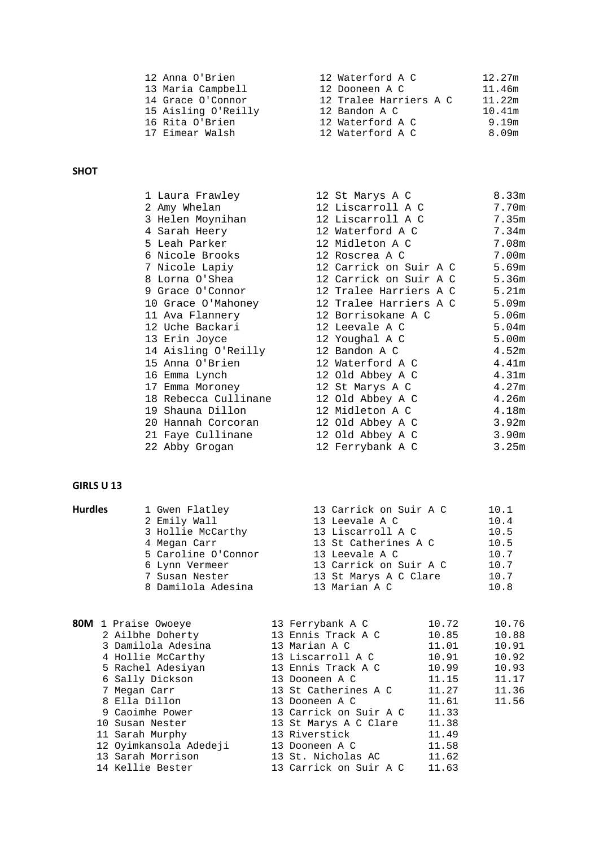| 12 Anna O'Brien     | 12 Waterford A C       | 12.27m |
|---------------------|------------------------|--------|
| 13 Maria Campbell   | 12 Dooneen A C         | 11.46m |
| 14 Grace O'Connor   | 12 Tralee Harriers A C | 11.22m |
| 15 Aisling O'Reilly | 12 Bandon A C          | 10.41m |
| 16 Rita O'Brien     | 12 Waterford A C       | 9.19m  |
| 17 Eimear Walsh     | 12 Waterford A C       | 8.09m  |

### **SHOT**

| 1 Laura Frawley                                           | 12 St Marys A C                                            | 8.33m |
|-----------------------------------------------------------|------------------------------------------------------------|-------|
| 2 Amy Whelan                                              | 12 Liscarroll A C                                          | 7.70m |
| 3 Helen Moynihan                                          | 12 Liscarroll A C                                          | 7.35m |
| 4 Sarah Heery                                             | 12 Waterford A C                                           | 7.34m |
| 5 Leah Parker                             12 Midleton A C |                                                            | 7.08m |
| 6 Nicole Brooks                                           | 12 Roscrea A C                                             | 7.00m |
| 7 Nicole Lapiy                                            | 12 Carrick on Suir A C                                     | 5.69m |
| 8 Lorna O'Shea                                            | 12 Carrick on Suir A C                                     | 5.36m |
|                                                           | 9 Grace O'Connor 12 Tralee Harriers A C 5.21m              |       |
|                                                           | 10 Grace O'Mahoney 12 Tralee Harriers A C                  | 5.09m |
|                                                           | 11 Ava Flannery                         12 Borrisokane A C | 5.06m |
|                                                           | 12 Uche Backari                         12 Leevale A C     | 5.04m |
| 13 Erin Joyce                           12 Youghal A C    |                                                            | 5.00m |
| 14 Aisling O'Reilly 12 Bandon A C                         |                                                            | 4.52m |
| 15 Anna O'Brien                                           | 12 Waterford A C                                           | 4.41m |
| 16 Emma Lynch 12 Old Abbey A C                            |                                                            | 4.31m |
| 17 Emma Moroney                                           | 12 St Marys A C                                            | 4.27m |
| 18 Rebecca Cullinane 12 Old Abbey A C                     |                                                            | 4.26m |
|                                                           |                                                            | 4.18m |
| 20 Hannah Corcoran 12 Old Abbey A C                       |                                                            | 3.92m |
| 21 Faye Cullinane 12 Old Abbey A C                        |                                                            | 3.90m |
| 22 Abby Grogan                                            | 12 Ferrybank A C                                           | 3.25m |

#### **GIRLS U 13**

| <b>Hurdles</b> | 1 Gwen Flatley      | 13 Carrick on Suir A C | 10.1 |  |
|----------------|---------------------|------------------------|------|--|
|                | 2 Emily Wall        | 13 Leevale A C         | 10.4 |  |
|                | 3 Hollie McCarthy   | 13 Liscarroll A C      | 10.5 |  |
|                | 4 Megan Carr        | 13 St Catherines A C   | 10.5 |  |
|                | 5 Caroline O'Connor | 13 Leevale A C         | 10.7 |  |
|                | 6 Lynn Vermeer      | 13 Carrick on Suir A C | 10.7 |  |
|                | 7 Susan Nester      | 13 St Marys A C Clare  | 10.7 |  |
|                | 8 Damilola Adesina  | 13 Marian A C          | 10.8 |  |
|                |                     |                        |      |  |

| 80M 1 Praise Owoeye    | 13 Ferrybank A C       | 10.72 | 10.76 |
|------------------------|------------------------|-------|-------|
| 2 Ailbhe Doherty       | 13 Ennis Track A C     | 10.85 | 10.88 |
| 3 Damilola Adesina     | 13 Marian A C          | 11.01 | 10.91 |
| 4 Hollie McCarthy      | 13 Liscarroll A C      | 10.91 | 10.92 |
| 5 Rachel Adesiyan      | 13 Ennis Track A C     | 10.99 | 10.93 |
| 6 Sally Dickson        | 13 Dooneen A C         | 11.15 | 11.17 |
| 7 Megan Carr           | 13 St Catherines A C   | 11.27 | 11.36 |
| 8 Ella Dillon          | 13 Dooneen A C         | 11.61 | 11.56 |
| 9 Caoimhe Power        | 13 Carrick on Suir A C | 11.33 |       |
| 10 Susan Nester        | 13 St Marys A C Clare  | 11.38 |       |
| 11 Sarah Murphy        | 13 Riverstick          | 11.49 |       |
| 12 Oyimkansola Adedeji | 13 Dooneen A C         | 11.58 |       |
| 13 Sarah Morrison      | 13 St. Nicholas AC     | 11.62 |       |
| 14 Kellie Bester       | 13 Carrick on Suir A C | 11.63 |       |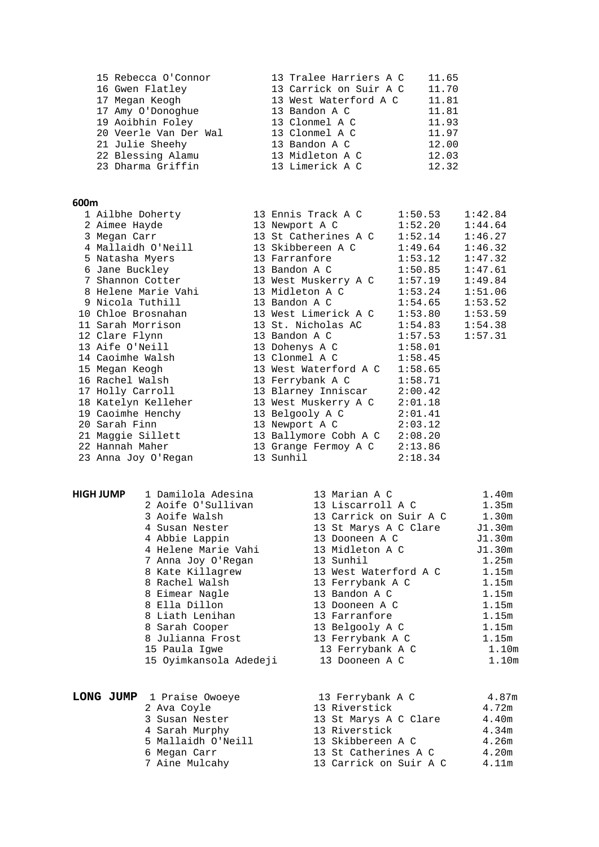|                                                                                                                                                                                         | 11.65                                                                                                                                                                                 |
|-----------------------------------------------------------------------------------------------------------------------------------------------------------------------------------------|---------------------------------------------------------------------------------------------------------------------------------------------------------------------------------------|
|                                                                                                                                                                                         | 11.70                                                                                                                                                                                 |
|                                                                                                                                                                                         | 11.81                                                                                                                                                                                 |
|                                                                                                                                                                                         | 11.81                                                                                                                                                                                 |
|                                                                                                                                                                                         | 11.93                                                                                                                                                                                 |
|                                                                                                                                                                                         | 11.97                                                                                                                                                                                 |
|                                                                                                                                                                                         | 12.00                                                                                                                                                                                 |
|                                                                                                                                                                                         | 12.03                                                                                                                                                                                 |
|                                                                                                                                                                                         | 12.32                                                                                                                                                                                 |
| 15 Rebecca O'Connor<br>16 Gwen Flatley<br>17 Megan Keogh<br>17 Amy O'Donoghue<br>19 Aoibhin Foley<br>20 Veerle Van Der Wal<br>21 Julie Sheehy<br>22 Blessing Alamu<br>23 Dharma Griffin | 13 Tralee Harriers A C<br>13 Carrick on Suir A C<br>13 West Waterford A C<br>13 Bandon A C<br>13 Clonmel A C<br>13 Clonmel A C<br>13 Bandon A C<br>13 Midleton A C<br>13 Limerick A C |

| 600 <sub>m</sub> |                                                                           |                                |         |         |
|------------------|---------------------------------------------------------------------------|--------------------------------|---------|---------|
|                  | 1 Ailbhe Doherty 13 Ennis Track A C 1:50.53 1:42.84                       |                                |         |         |
|                  | 2 Aimee Hayde                                                             | 13 Newport A C 1:52.20         |         | 1:44.64 |
|                  | 3 Megan Carr                                                              |                                |         |         |
|                  | 4 Mallaidh O'Neill 13 Skibbereen A C 1:49.64                              |                                |         | 1:46.32 |
|                  | 5 Natasha Myers                                                           |                                |         |         |
|                  | 6 Jane Buckley                       13 Bandon A C               1:50.85  |                                |         | 1:47.61 |
|                  | 7 Shannon Cotter 13 West Muskerry A C 1:57.19                             |                                |         | 1:49.84 |
|                  | 8 Helene Marie Vahi               13 Midleton A C                 1:53.24 |                                |         | 1:51.06 |
|                  | 9 Nicola Tuthill                                                          | 13 Bandon A C 1:54.65          |         | 1:53.52 |
|                  | 10 Chloe Brosnahan 13 West Limerick A C 1:53.80 1:53.59                   |                                |         |         |
|                  | 11 Sarah Morrison 13 St. Nicholas AC 1:54.83                              |                                |         | 1:54.38 |
|                  | 12 Clare Flynn                                                            | 13 Bandon A C 1:57.53          |         | 1:57.31 |
|                  | 13 Aife O'Neill                                                           | 13 Dohenys A C 1:58.01         |         |         |
|                  | 14 Caoimhe Walsh                                                          | 13 Clonmel A C 1:58.45         |         |         |
|                  | 15 Megan Keogh                                                            | 13 West Waterford A C 1:58.65  |         |         |
|                  | 16 Rachel Walsh                                                           | 13 Ferrybank A C 1:58.71       |         |         |
|                  | 17 Holly Carroll                                                          | 13 Blarney Inniscar 2:00.42    |         |         |
|                  | 18 Katelyn Kelleher                                                       | 13 West Muskerry A C 2:01.18   |         |         |
|                  | 19 Caoimhe Henchy                                                         | 13 Belgooly A C 2:01.41        |         |         |
|                  | 20 Sarah Finn                                                             | 13 Newport A C                 | 2:03.12 |         |
|                  | 21 Maggie Sillett                                                         | 13 Ballymore Cobh A C 2:08.20  |         |         |
|                  | 22 Hannah Maher                                                           | 13 Grange Fermoy A C $2:13.86$ |         |         |
|                  | 23 Anna Joy O'Regan                                                       | 13 Sunhil                      | 2:18.34 |         |

| 4 Susan Nester       |
|----------------------|
| 4 Abbie Lappin       |
| 4 Helene Marie Vahi  |
| 7 Anna Joy O'Regan   |
| Kate Killagrew<br>8. |
| 8 Rachel Walsh       |
| 8 Eimear Nagle       |
| 8 Ella Dillon        |
| 8 Liath Lenihan      |
| 8 Sarah Cooper       |
| 8 Julianna Frost     |
| 15 Paula Igwe        |
| 15 Oyimkansola Adede |
|                      |

| <b>HIGH JUMP</b> | 1 Damilola Adesina     | 13 Marian A C          | 1.40m             |
|------------------|------------------------|------------------------|-------------------|
|                  | 2 Aoife O'Sullivan     | 13 Liscarroll A C      | 1.35m             |
|                  | 3 Aoife Walsh          | 13 Carrick on Suir A C | 1.30m             |
|                  | 4 Susan Nester         | 13 St Marys A C Clare  | J1.30m            |
|                  | 4 Abbie Lappin         | 13 Dooneen A C         | J1.30m            |
|                  | 4 Helene Marie Vahi    | 13 Midleton A C        | J1.30m            |
|                  | 7 Anna Joy O'Regan     | 13 Sunhil              | 1.25m             |
|                  | 8 Kate Killagrew       | 13 West Waterford A C  | 1.15m             |
|                  | 8 Rachel Walsh         | 13 Ferrybank A C       | 1.15m             |
|                  | 8 Eimear Nagle         | 13 Bandon A C          | 1.15m             |
|                  | 8 Ella Dillon          | 13 Dooneen A C         | 1.15m             |
|                  | 8 Liath Lenihan        | 13 Farranfore          | 1.15m             |
|                  | 8 Sarah Cooper         | 13 Belgooly A C        | 1.15m             |
|                  | 8 Julianna Frost       | 13 Ferrybank A C       | 1.15m             |
|                  | 15 Paula Igwe          | 13 Ferrybank A C       | 1.10m             |
|                  | 15 Oyimkansola Adedeji | 13 Dooneen A C         | 1.10 <sub>m</sub> |

|  | LONG JUMP 1 Praise Owoeye | 13 Ferrybank A C       | 4.87m |
|--|---------------------------|------------------------|-------|
|  | 2 Ava Coyle               | 13 Riverstick          | 4.72m |
|  | 3 Susan Nester            | 13 St Marys A C Clare  | 4.40m |
|  | 4 Sarah Murphy            | 13 Riverstick          | 4.34m |
|  | 5 Mallaidh O'Neill        | 13 Skibbereen A C      | 4.26m |
|  | 6 Megan Carr              | 13 St Catherines A C   | 4.20m |
|  | 7 Aine Mulcahy            | 13 Carrick on Suir A C | 4.11m |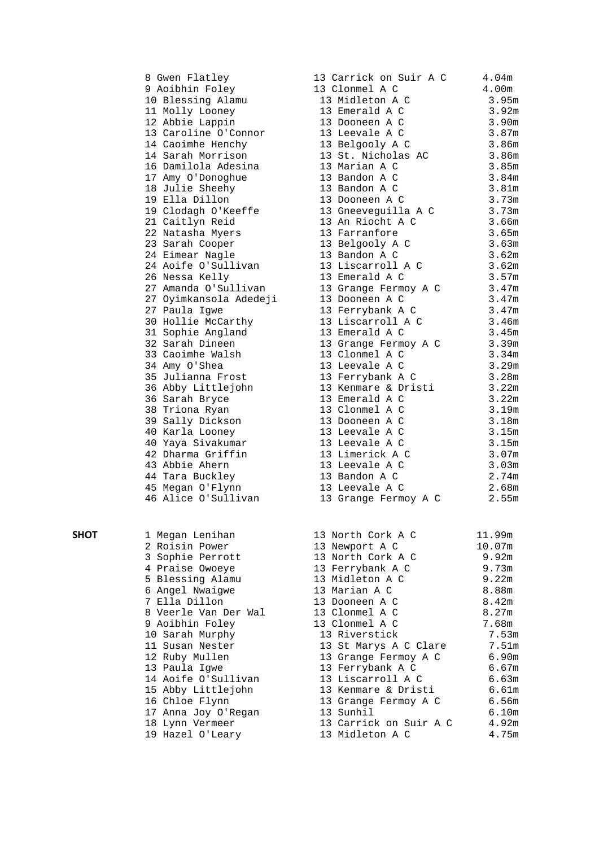|      | 8 Gwen Flatley         | 13 Carrick on Suir A C | 4.04 <sub>m</sub> |  |
|------|------------------------|------------------------|-------------------|--|
|      | 9 Aoibhin Foley        | 13 Clonmel A C         | 4.00m             |  |
|      | 10 Blessing Alamu      | 13 Midleton A C        | 3.95m             |  |
|      | 11 Molly Looney        | 13 Emerald A C         | 3.92m             |  |
|      | 12 Abbie Lappin        | 13 Dooneen A C         | 3.90m             |  |
|      | 13 Caroline O'Connor   | 13 Leevale A C         | 3.87m             |  |
|      | 14 Caoimhe Henchy      | 13 Belgooly A C        | 3.86m             |  |
|      | 14 Sarah Morrison      | 13 St. Nicholas AC     | 3.86m             |  |
|      | 16 Damilola Adesina    | 13 Marian A C          | 3.85m             |  |
|      | 17 Amy O'Donoghue      | 13 Bandon A C          | 3.84m             |  |
|      |                        | 13 Bandon A C          |                   |  |
|      | 18 Julie Sheehy        |                        | 3.81m             |  |
|      | 19 Ella Dillon         | 13 Dooneen A C         | 3.73m             |  |
|      | 19 Clodagh O'Keeffe    | 13 Gneeveguilla A C    | 3.73m             |  |
|      | 21 Caitlyn Reid        | 13 An Riocht A C       | 3.66m             |  |
|      | 22 Natasha Myers       | 13 Farranfore          | 3.65m             |  |
|      | 23 Sarah Cooper        | 13 Belgooly A C        | 3.63m             |  |
|      | 24 Eimear Nagle        | 13 Bandon A C          | 3.62m             |  |
|      | 24 Aoife O'Sullivan    | 13 Liscarroll A C      | 3.62m             |  |
|      | 26 Nessa Kelly         | 13 Emerald A C         | 3.57m             |  |
|      | 27 Amanda O'Sullivan   | 13 Grange Fermoy A C   | 3.47m             |  |
|      | 27 Oyimkansola Adedeji | 13 Dooneen A C         | 3.47m             |  |
|      | 27 Paula Igwe          | 13 Ferrybank A C       | 3.47m             |  |
|      | 30 Hollie McCarthy     | 13 Liscarroll A C      | 3.46m             |  |
|      | 31 Sophie Angland      | 13 Emerald A C         | 3.45m             |  |
|      | 32 Sarah Dineen        |                        | 3.39m             |  |
|      |                        | 13 Grange Fermoy A C   |                   |  |
|      | 33 Caoimhe Walsh       | 13 Clonmel A C         | 3.34m             |  |
|      | 34 Amy O'Shea          | 13 Leevale A C         | 3.29m             |  |
|      | 35 Julianna Frost      | 13 Ferrybank A C       | 3.28m             |  |
|      | 36 Abby Littlejohn     | 13 Kenmare & Dristi    | 3.22m             |  |
|      | 36 Sarah Bryce         | 13 Emerald A C         | 3.22m             |  |
|      | 38 Triona Ryan         | 13 Clonmel A C         | 3.19m             |  |
|      | 39 Sally Dickson       | 13 Dooneen A C         | 3.18m             |  |
|      | 40 Karla Looney        | 13 Leevale A C         | 3.15m             |  |
|      | 40 Yaya Sivakumar      | 13 Leevale A C         | 3.15m             |  |
|      | 42 Dharma Griffin      | 13 Limerick A C        | 3.07 <sub>m</sub> |  |
|      | 43 Abbie Ahern         | 13 Leevale A C         | 3.03m             |  |
|      | 44 Tara Buckley        | 13 Bandon A C          | 2.74m             |  |
|      | 45 Megan O'Flynn       | 13 Leevale A C         | 2.68m             |  |
|      | 46 Alice O'Sullivan    | 13 Grange Fermoy A C   | 2.55m             |  |
|      |                        |                        |                   |  |
|      |                        |                        |                   |  |
|      |                        |                        |                   |  |
| ѕнот | 1 Megan Lenihan        | 13 North Cork A C      | 11.99m            |  |
|      | 2 Roisin Power         | 13 Newport A C         | 10.07m            |  |
|      | 3 Sophie Perrott       | 13 North Cork A C      | 9.92m             |  |
|      | 4 Praise Owoeye        | 13 Ferrybank A C       | 9.73m             |  |
|      | 5 Blessing Alamu       | 13 Midleton A C        | 9.22m             |  |
|      | 6 Angel Nwaigwe        | 13 Marian A C          | 8.88m             |  |
|      | 7 Ella Dillon          | 13 Dooneen A C         | 8.42m             |  |
|      | 8 Veerle Van Der Wal   | 13 Clonmel A C         | 8.27m             |  |
|      | 9 Aoibhin Foley        | 13 Clonmel A C         | 7.68m             |  |
|      | 10 Sarah Murphy        | 13 Riverstick          | 7.53m             |  |
|      | 11 Susan Nester        | 13 St Marys A C Clare  | 7.51m             |  |
|      | 12 Ruby Mullen         | 13 Grange Fermoy A C   | 6.90m             |  |
|      |                        |                        |                   |  |
|      | 13 Paula Igwe          | 13 Ferrybank A C       | 6.67m             |  |
|      | 14 Aoife O'Sullivan    | 13 Liscarroll A C      | 6.63m             |  |
|      | 15 Abby Littlejohn     | 13 Kenmare & Dristi    | 6.61m             |  |
|      | 16 Chloe Flynn         | 13 Grange Fermoy A C   | 6.56m             |  |
|      | 17 Anna Joy O'Regan    | 13 Sunhil              | 6.10m             |  |
|      | 18 Lynn Vermeer        | 13 Carrick on Suir A C | 4.92m             |  |
|      | 19 Hazel O'Leary       | 13 Midleton A C        | 4.75m             |  |
|      |                        |                        |                   |  |

|    | 3 Carrick on Suir A C | 4.04 <sub>m</sub> |
|----|-----------------------|-------------------|
|    | 3 Clonmel A C         | 4.00 <sub>m</sub> |
|    | 13 Midleton A C       | 3.95m             |
|    | 13 Emerald A C        | 3.92m             |
| 13 | Dooneen A C           | 3.90m             |
| 13 | Leevale A C           | $3.87m$           |
| 13 | Belgooly A C          | 3.86m             |
| 13 | St. Nicholas AC       | 3.86m             |
| 13 | Marian A C            | 3.85m             |
| 13 | Bandon A C            | 3.84m             |
| 13 | Bandon A C            | 3.81m             |
| 13 | Dooneen A C           | 3.73m             |
| 13 | Gneeveguilla A C      | 3.73m             |
| 13 | An Riocht A C         | 3.66m             |
| 13 | Farranfore            | 3.65m             |
| 13 | Belgooly A C          | 3.63m             |
| 13 | Bandon A C            | 3.62m             |
| 13 | Liscarroll A C        | 3.62m             |
| 13 | Emerald A C           | 3.57m             |
| 13 | Grange Fermoy A C     | $3.47m$           |
| 13 | Dooneen A C           | 3.47m             |
| 13 | Ferrybank A C         | 3.47m             |
| 13 | Liscarroll A C        | 3.46m             |
| 13 | Emerald A C           | 3.45m             |
| 13 | Grange Fermoy A C     | 3.39m             |
| 13 | Clonmel A C           | 3.34m             |
| 13 | Leevale A C           | 3.29m             |
| 13 | Ferrybank A C         | 3.28m             |
| 13 | Kenmare & Dristi      | 3.22m             |
| 13 | Emerald A C           | $3.22m$           |
| 13 | Clonmel A C           | 3.19m             |
| 13 | Dooneen A C           | 3.18m             |
| 13 | Leevale A C           | 3.15m             |
| 13 | Leevale A C           | 3.15m             |
| 13 | Limerick A C          | 3.07m             |
| 13 | Leevale A C           | 3.03m             |
| 13 | Bandon A C            | 2.74m             |
| 13 | Leevale A C           | 2.68m             |
| 13 | Grange Fermoy A C     | 2.55m             |
|    |                       |                   |

| 13 North Cork A C      | 11.99m |
|------------------------|--------|
| 13 Newport A C         | 10.07m |
| 13 North Cork A C      | 9.92m  |
| 13 Ferrybank A C       | 9.73m  |
| 13 Midleton A C        | 9.22m  |
| 13 Marian A C          | 8.88m  |
| 13 Dooneen A C         | 8.42m  |
| 13 Clonmel A C         | 8.27m  |
| 13 Clonmel A C         | 7.68m  |
| 13 Riverstick          | 7.531  |
| 13 St Marys A C Clare  | 7.51   |
| 13 Grange Fermoy A C   | 6.90   |
| 13 Ferrybank A C       | 6.671  |
| 13 Liscarroll A C      | 6.631  |
| 13 Kenmare & Dristi    | 6.61   |
| 13 Grange Fermoy A C   | 6.561  |
| 13 Sunhil              | 6.10   |
| 13 Carrick on Suir A C | 4.92   |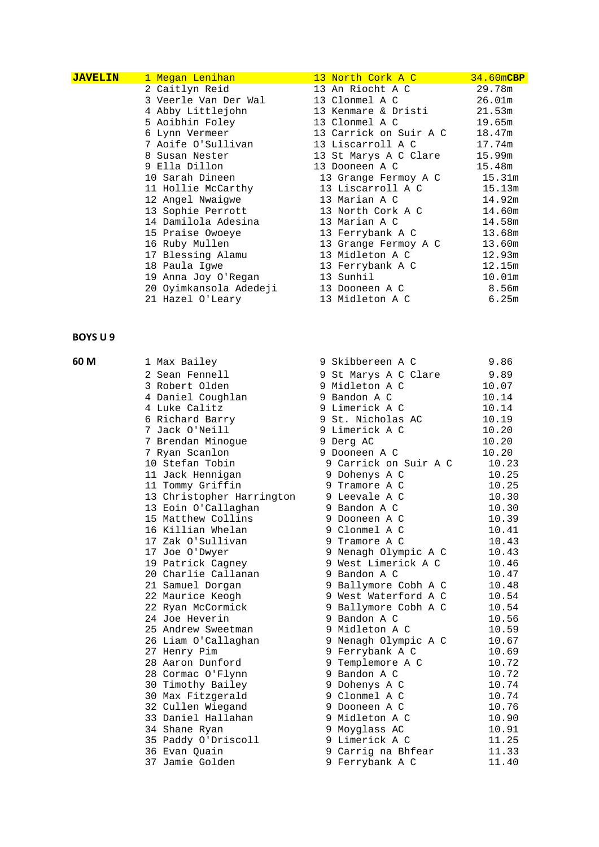| <b>JAVELIN</b> | <u>1 Megan Lenihan I</u>                      | 13 North Cork A C                                                       | 34.60mCBP |
|----------------|-----------------------------------------------|-------------------------------------------------------------------------|-----------|
|                | 2 Caitlyn Reid                                | 13 An Riocht A C                                                        | 29.78m    |
|                | 3 Veerle Van Der Wal           13 Clonmel A C |                                                                         | 26.01m    |
|                | 4 Abby Littlejohn                             | 13 Kenmare & Dristi                                                     | 21.53m    |
|                | 5 Aoibhin Foley                               | 13 Clonmel A C                                                          | 19.65m    |
|                |                                               | 6 Lynn Vermeer 13 Carrick on Suir A C 18.47m                            |           |
|                |                                               | 7 Aoife O'Sullivan               13 Liscarroll A C               17.74m |           |
|                | 8 Susan Nester                                | 13 St Marys A C Clare                                                   | 15.99m    |
|                | 9 Ella Dillon                                 | 13 Dooneen A C                                                          | 15.48m    |
|                | 10 Sarah Dineen                               | 13 Grange Fermoy A C 15.31m                                             |           |
|                |                                               | 11 Hollie McCarthy 13 Liscarroll A C                                    | 15.13m    |
|                |                                               | 12 Angel Nwaigwe                       13 Marian A C                    | 14.92m    |
|                |                                               | 13 Sophie Perrott                       13 North Cork A C               | 14.60m    |
|                | 14 Damilola Adesina                           | 13 Marian A C                                                           | 14.58m    |
|                | 15 Praise Owoeye                              | 13 Ferrybank A C                                                        | 13.68m    |
|                | 16 Ruby Mullen                                | 13 Grange Fermoy A C                                                    | 13.60m    |
|                | 17 Blessing Alamu                             | 13 Midleton A C                                                         | 12.93m    |
|                | 18 Paula Igwe                                 | 13 Ferrybank A C                                                        | 12.15m    |
|                | 19 Anna Joy O'Regan                           | 13 Sunhil                                                               | 10.01m    |
|                | 20 Oyimkansola Adedeji 13 Dooneen A C         |                                                                         | 8.56m     |
|                |                                               | 21 Hazel O'Leary                       13 Midleton A C                  | 6.25m     |

| 60 M | 1 Max Bailey              | Skibbereen A C<br>9      | 9.86  |
|------|---------------------------|--------------------------|-------|
|      | 2 Sean Fennell            | 9 St Marys A C Clare     | 9.89  |
|      | 3 Robert Olden            | 9 Midleton A C           | 10.07 |
|      | 4 Daniel Coughlan         | 9 Bandon A C             | 10.14 |
|      | 4 Luke Calitz             | 9 Limerick A C           | 10.14 |
|      | 6 Richard Barry           | 9 St. Nicholas AC        | 10.19 |
|      | 7 Jack O'Neill            | 9 Limerick A C           | 10.20 |
|      | 7 Brendan Minoque         | 9 Derg AC                | 10.20 |
|      | 7 Ryan Scanlon            | 9 Dooneen A C            | 10.20 |
|      | 10 Stefan Tobin           | 9 Carrick on Suir A C    | 10.23 |
|      | 11 Jack Hennigan          | Dohenys A C<br>9.        | 10.25 |
|      | 11 Tommy Griffin          | Tramore A C<br>9.        | 10.25 |
|      | 13 Christopher Harrington | 9 Leevale A C            | 10.30 |
|      | 13 Eoin O'Callaghan       | 9 Bandon A C             | 10.30 |
|      | 15 Matthew Collins        | 9 Dooneen A C            | 10.39 |
|      | 16 Killian Whelan         | 9 Clonmel A C            | 10.41 |
|      | 17 Zak O'Sullivan         | 9.<br>Tramore A C        | 10.43 |
|      | 17 Joe O'Dwyer            | 9 Nenagh Olympic A C     | 10.43 |
|      | 19 Patrick Cagney         | 9 West Limerick A C      | 10.46 |
|      | 20 Charlie Callanan       | 9 Bandon A C             | 10.47 |
|      | 21 Samuel Dorgan          | Ballymore Cobh A C<br>9. | 10.48 |
|      | 22 Maurice Keogh          | West Waterford A C<br>9  | 10.54 |
|      | 22 Ryan McCormick         | Ballymore Cobh A C<br>9. | 10.54 |
|      | 24 Joe Heverin            | 9 Bandon A C             | 10.56 |
|      | 25 Andrew Sweetman        | 9 Midleton A C           | 10.59 |
|      | 26 Liam O'Callaghan       | 9 Nenagh Olympic A C     | 10.67 |
|      | 27 Henry Pim              | Ferrybank A C<br>9.      | 10.69 |
|      | 28 Aaron Dunford          | Templemore A C<br>9      | 10.72 |
|      | 28 Cormac O'Flynn         | Bandon A C<br>9.         | 10.72 |
|      | 30 Timothy Bailey         | 9 Dohenys A C            | 10.74 |
|      | 30 Max Fitzgerald         | 9 Clonmel A C            | 10.74 |
|      | 32 Cullen Wiegand         | 9 Dooneen A C            | 10.76 |
|      | 33 Daniel Hallahan        | 9 Midleton A C           | 10.90 |
|      | 34 Shane Ryan             | 9 Moyglass AC            | 10.91 |
|      | 35 Paddy O'Driscoll       | 9 Limerick A C           | 11.25 |
|      | 36 Evan Ouain             | Carrig na Bhfear<br>9    | 11.33 |
|      | 37 Jamie Golden           | 9 Ferrybank A C          | 11.40 |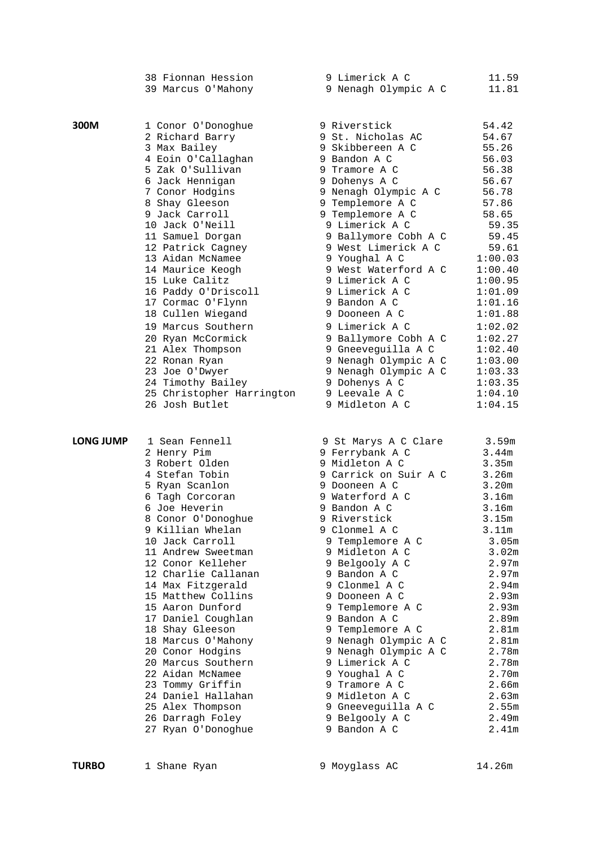|                  | 38 Fionnan Hession<br>39 Marcus O'Mahony | 9 Limerick A C<br>9 Nenagh Olympic A C | 11.59<br>11.81    |
|------------------|------------------------------------------|----------------------------------------|-------------------|
|                  |                                          |                                        |                   |
| 300M             | 1 Conor O'Donoghue                       | 9 Riverstick                           | 54.42             |
|                  | 2 Richard Barry                          | 9 St. Nicholas AC                      | 54.67             |
|                  | 3 Max Bailey                             | 9 Skibbereen A C                       | 55.26             |
|                  | 4 Eoin O'Callaghan                       | 9 Bandon A C                           | 56.03             |
|                  | 5 Zak O'Sullivan                         | 9 Tramore A C                          | 56.38             |
|                  | 6 Jack Hennigan                          | 9 Dohenys A C                          | 56.67             |
|                  | 7 Conor Hodgins                          | 9 Nenagh Olympic A C                   | 56.78             |
|                  | 8 Shay Gleeson                           | 9 Templemore A C                       | 57.86             |
|                  | 9 Jack Carroll                           | 9 Templemore A C                       | 58.65             |
|                  | 10 Jack O'Neill                          | 9 Limerick A C                         | 59.35             |
|                  | 11 Samuel Dorgan                         | 9 Ballymore Cobh A C                   | 59.45             |
|                  | 12 Patrick Cagney                        | 9 West Limerick A C                    | 59.61             |
|                  | 13 Aidan McNamee                         | 9 Youghal A C                          | 1:00.03           |
|                  | 14 Maurice Keogh                         | 9 West Waterford A C                   | 1:00.40           |
|                  | 15 Luke Calitz                           | 9 Limerick A C                         | 1:00.95           |
|                  | 16 Paddy O'Driscoll                      | 9 Limerick A C                         | 1:01.09           |
|                  | 17 Cormac O'Flynn                        | 9 Bandon A C                           | 1:01.16           |
|                  | 18 Cullen Wiegand                        | 9 Dooneen A C                          | 1:01.88           |
|                  | 19 Marcus Southern                       | 9 Limerick A C                         | 1:02.02           |
|                  | 20 Ryan McCormick                        | 9 Ballymore Cobh A C                   | 1:02.27           |
|                  | 21 Alex Thompson                         | 9 Gneeveguilla A C                     | 1:02.40           |
|                  | 22 Ronan Ryan                            | 9 Nenagh Olympic A C                   | 1:03.00           |
|                  | 23 Joe O'Dwyer                           | 9 Nenagh Olympic A C                   | 1:03.33           |
|                  | 24 Timothy Bailey                        | 9 Dohenys A C                          | 1:03.35           |
|                  | 25 Christopher Harrington                | 9 Leevale A C                          | 1:04.10           |
|                  | 26 Josh Butlet                           | 9 Midleton A C                         | 1:04.15           |
| <b>LONG JUMP</b> | 1 Sean Fennell                           | 9 St Marys A C Clare                   | 3.59m             |
|                  | 2 Henry Pim                              | 9 Ferrybank A C                        | 3.44m             |
|                  | 3 Robert Olden                           | 9 Midleton A C                         | 3.35m             |
|                  | 4 Stefan Tobin                           | 9 Carrick on Suir A C                  | 3.26m             |
|                  | 5 Ryan Scanlon                           | 9 Dooneen A C                          | 3.20m             |
|                  | 6 Tagh Corcoran                          | 9 Waterford A C                        | 3.16m             |
|                  | 6 Joe Heverin                            | 9 Bandon A C                           | 3.16m             |
|                  | 8 Conor O'Donoghue                       | 9 Riverstick                           | 3.15m             |
|                  | 9 Killian Whelan                         | 9 Clonmel A C                          | 3.11m             |
|                  | 10 Jack Carroll                          | 9 Templemore A C                       | 3.05m             |
|                  | 11 Andrew Sweetman                       | 9 Midleton A C                         | 3.02m             |
|                  | 12 Conor Kelleher                        | 9 Belgooly A C                         | 2.97m             |
|                  | 12 Charlie Callanan                      | 9 Bandon A C                           | 2.97m             |
|                  | 14 Max Fitzgerald                        | 9 Clonmel A C                          | 2.94m             |
|                  | 15 Matthew Collins                       | 9 Dooneen A C                          | 2.93m             |
|                  | 15 Aaron Dunford                         | 9 Templemore A C                       | 2.93m             |
|                  | 17 Daniel Coughlan                       | 9 Bandon A C                           | 2.89m             |
|                  | 18 Shay Gleeson                          | 9 Templemore A C                       | 2.81 <sub>m</sub> |
|                  | 18 Marcus O'Mahony                       | 9 Nenagh Olympic A C                   | 2.81m             |
|                  | 20 Conor Hodgins                         | 9 Nenagh Olympic A C                   | 2.78m             |
|                  | 20 Marcus Southern                       | 9 Limerick A C                         | 2.78m             |
|                  | 22 Aidan McNamee                         | 9 Youghal A C                          | 2.70m             |
|                  | 23 Tommy Griffin                         | 9 Tramore A C<br>9 Midleton A C        | 2.66m             |
|                  | 24 Daniel Hallahan                       |                                        | 2.63m             |
|                  | 25 Alex Thompson<br>26 Darragh Foley     | 9 Gneeveguilla A C<br>9 Belgooly A C   | 2.55m<br>2.49m    |
|                  | 27 Ryan O'Donoghue                       | 9 Bandon A C                           | 2.41m             |
|                  |                                          |                                        |                   |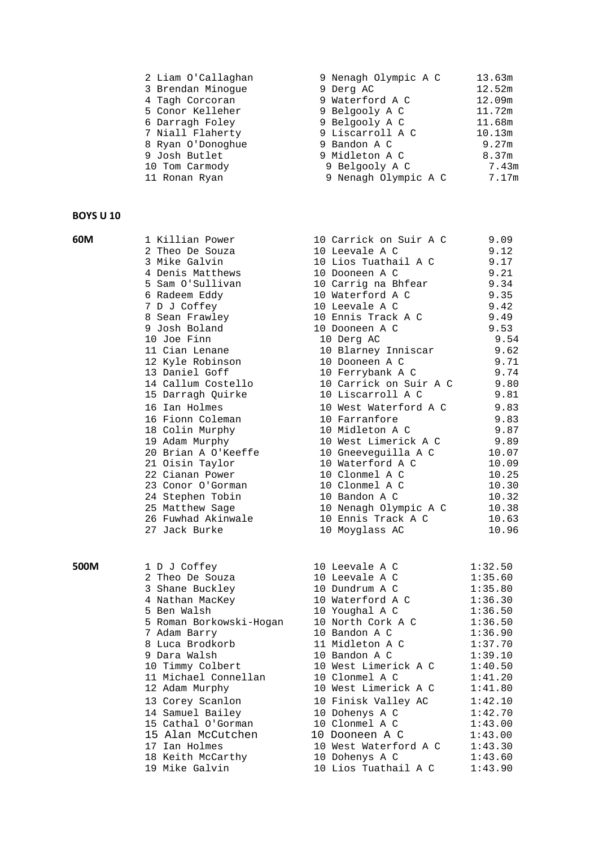| 2 Liam O'Callaghan | 9 Nenagh Olympic A C | 13.63m |  |
|--------------------|----------------------|--------|--|
| 3 Brendan Minoque  | 9 Derg AC            | 12.52m |  |
| 4 Tagh Corcoran    | 9 Waterford A C      | 12.09m |  |
| 5 Conor Kelleher   | 9 Belgooly A C       | 11.72m |  |
| 6 Darragh Foley    | 9 Belgooly A C       | 11.68m |  |
| 7 Niall Flaherty   | 9 Liscarroll A C     | 10.13m |  |
| 8 Ryan O'Donoghue  | 9 Bandon A C         | 9.27m  |  |
| 9 Josh Butlet      | 9 Midleton A C       | 8.37m  |  |
| 10 Tom Carmody     | 9 Belgooly A C       | 7.43m  |  |
| 11 Ronan Ryan      | 9 Nenagh Olympic A C | 7.17m  |  |
|                    |                      |        |  |

| 60M  | 1 Killian Power                       | 10 Carrick on Suir A C | 9.09    |  |
|------|---------------------------------------|------------------------|---------|--|
|      | 2 Theo De Souza                       | 10 Leevale A C         | 9.12    |  |
|      | 3 Mike Galvin                         | 10 Lios Tuathail A C   | 9.17    |  |
|      | 4 Denis Matthews                      | 10 Dooneen A C         | 9.21    |  |
|      | 5 Sam O'Sullivan                      | 10 Carrig na Bhfear    | 9.34    |  |
|      | 6 Radeem Eddy                         | 10 Waterford A C       | 9.35    |  |
|      | 7 D J Coffey                          | 10 Leevale A C         | 9.42    |  |
|      | 8 Sean Frawley                        | 10 Ennis Track A C     | 9.49    |  |
|      | 9 Josh Boland                         | 10 Dooneen A C         | 9.53    |  |
|      | 10 Joe Finn                           | 10 Derg AC             | 9.54    |  |
|      | 11 Cian Lenane                        | 10 Blarney Inniscar    | 9.62    |  |
|      | 12 Kyle Robinson                      | 10 Dooneen A C         | 9.71    |  |
|      | 13 Daniel Goff                        | 10 Ferrybank A C       | 9.74    |  |
|      | 14 Callum Costello                    | 10 Carrick on Suir A C | 9.80    |  |
|      | 15 Darragh Quirke                     | 10 Liscarroll A C      | 9.81    |  |
|      | 16 Ian Holmes                         | 10 West Waterford A C  | 9.83    |  |
|      | 16 Fionn Coleman                      | 10 Farranfore          | 9.83    |  |
|      | 18 Colin Murphy                       | 10 Midleton A C        | 9.87    |  |
|      | 19 Adam Murphy                        | 10 West Limerick A C   | 9.89    |  |
|      | 20 Brian A O'Keeffe                   | 10 Gneeveguilla A C    | 10.07   |  |
|      | 21 Oisin Taylor                       | 10 Waterford A C       | 10.09   |  |
|      | 22 Cianan Power                       | 10 Clonmel A C         | 10.25   |  |
|      | 23 Conor O'Gorman                     | 10 Clonmel A C         | 10.30   |  |
|      | 24 Stephen Tobin                      | 10 Bandon A C          | 10.32   |  |
|      |                                       | 10 Nenagh Olympic A C  | 10.38   |  |
|      | 25 Matthew Sage<br>26 Fuwhad Akinwale | 10 Ennis Track A C     |         |  |
|      | 27 Jack Burke                         |                        | 10.63   |  |
|      |                                       | 10 Moyglass AC         | 10.96   |  |
| 500M | 1 D J Coffey                          | 10 Leevale A C         | 1:32.50 |  |
|      | 2 Theo De Souza                       | 10 Leevale A C         | 1:35.60 |  |
|      | 3 Shane Buckley                       | 10 Dundrum A C         | 1:35.80 |  |
|      | 4 Nathan MacKey                       | 10 Waterford A C       | 1:36.30 |  |
|      | 5 Ben Walsh                           | 10 Youghal A C         | 1:36.50 |  |
|      | 5 Roman Borkowski-Hogan               | 10 North Cork A C      | 1:36.50 |  |
|      | 7 Adam Barry                          | 10 Bandon A C          | 1:36.90 |  |
|      | 8 Luca Brodkorb                       | 11 Midleton A C        | 1:37.70 |  |
|      | 9 Dara Walsh                          | 10 Bandon A C          | 1:39.10 |  |
|      | 10 Timmy Colbert                      | 10 West Limerick A C   | 1:40.50 |  |
|      | 11 Michael Connellan                  | 10 Clonmel A C         | 1:41.20 |  |
|      | 12 Adam Murphy                        | 10 West Limerick A C   | 1:41.80 |  |
|      | 13 Corey Scanlon                      | 10 Finisk Valley AC    | 1:42.10 |  |
|      | 14 Samuel Bailey                      | 10 Dohenys A C         | 1:42.70 |  |
|      | 15 Cathal O'Gorman                    | 10 Clonmel A C         | 1:43.00 |  |
|      | 15 Alan McCutchen                     | 10 Dooneen A C         | 1:43.00 |  |
|      | 17 Ian Holmes                         | 10 West Waterford A C  | 1:43.30 |  |
|      | 18 Keith McCarthy                     | 10 Dohenys A C         | 1:43.60 |  |
|      |                                       |                        |         |  |

19 Mike Galvin 10 Lios Tuathail A C 1:43.90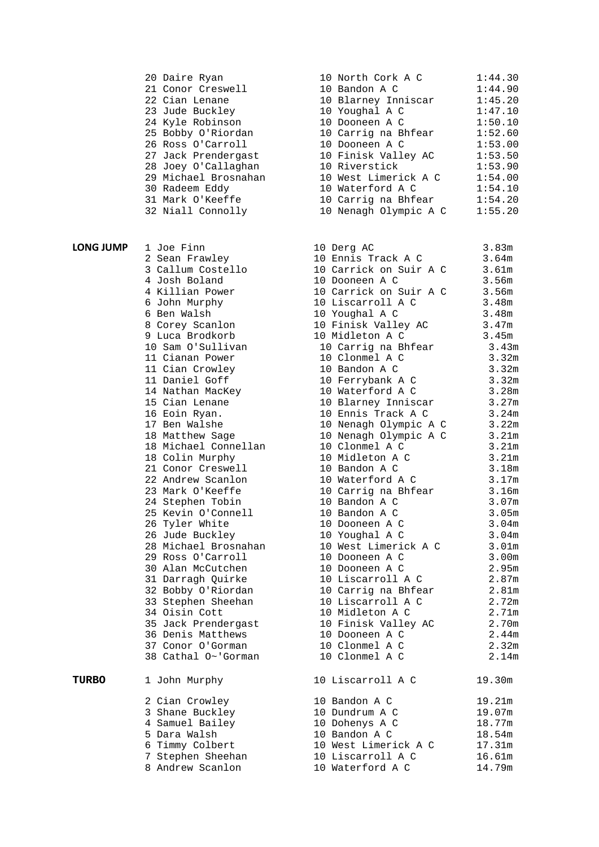20 Daire Ryan 21 Conor Creswell 22 Cian Lenane 23 Jude Buckley 24 Kyle Robinson 25 Bobby O'Riordan 26 Ross O'Carroll 27 Jack Prendergast 28 Joey O'Callaghan 29 Michael Brosnahan 30 Radeem Eddy 31 Mark O'Keeffe 32 Niall Connolly **LONG JUMP** 1 Joe Finn 10 Derg AC 3.83 2 Sean Frawley 3 Callum Costello 4 Josh Boland 4 Killian Power 6 John Murphy 6 Ben Walsh 8 Corey Scanlon 9 Luca Brodkorb 14 Nathan MacKey 15 Cian Lenane 16 Eoin Ryan. 18 Matthew Sage 18 Michael Connellan 18 Colin Murphy 21 Conor Creswell 22 Andrew Scanlon 23 Mark O'Keeffe 24 Stephen Tobin 26 Tyler White 26 Jude Buckley **TURBO** 1 John Murphy 2 Cian Crowley 3 Shane Buckley 4 Samuel Bailey 5 Dara Walsh 6 Timmy Colbert 7 Stephen Sheehan 8 Andrew Scanlon 10 Waterford A C 14.79m

| 10 North Cork A C     | 1:44.30 |
|-----------------------|---------|
| 10 Bandon A C         | 1:44.90 |
| 10 Blarney Inniscar   | 1:45.20 |
| 10 Youghal A C        | 1:47.10 |
| 10 Dooneen A C        | 1:50.10 |
| 10 Carrig na Bhfear   | 1:52.60 |
| 10 Dooneen A C        | 1:53.00 |
| 10 Finisk Valley AC   | 1:53.50 |
| 10 Riverstick         | 1:53.90 |
| 10 West Limerick A C  | 1:54.00 |
| 10 Waterford A C      | 1:54.10 |
| 10 Carrig na Bhfear   | 1:54.20 |
| 10 Nenagh Olympic A C | 1:55.20 |
|                       |         |

| T JOG FINN           | IO Derg AC             | 3.83m             |
|----------------------|------------------------|-------------------|
| 2 Sean Frawley       | 10 Ennis Track A C     | 3.64m             |
| 3 Callum Costello    | 10 Carrick on Suir A C | 3.61m             |
| 4 Josh Boland        | 10 Dooneen A C         | 3.56m             |
| 4 Killian Power      | 10 Carrick on Suir A C | 3.56m             |
| 6 John Murphy        | 10 Liscarroll A C      | 3.48m             |
| 6 Ben Walsh          | 10 Youghal A C         | 3.48m             |
| 8 Corey Scanlon      | 10 Finisk Valley AC    | 3.47m             |
| 9 Luca Brodkorb      | 10 Midleton A C        | 3.45m             |
| 10 Sam O'Sullivan    | 10 Carrig na Bhfear    | 3.43m             |
| 11 Cianan Power      | 10 Clonmel A C         | 3.32m             |
| 11 Cian Crowley      | 10 Bandon A C          | 3.32m             |
| 11 Daniel Goff       | 10 Ferrybank A C       | 3.32m             |
| 14 Nathan MacKey     | 10 Waterford A C       | 3.28m             |
| 15 Cian Lenane       | 10 Blarney Inniscar    | 3.27m             |
| 16 Eoin Ryan.        | 10 Ennis Track A C     | 3.24m             |
| 17 Ben Walshe        | 10 Nenagh Olympic A C  | 3.22m             |
| 18 Matthew Sage      | 10 Nenagh Olympic A C  | 3.21m             |
| 18 Michael Connellan | 10 Clonmel A C         | 3.21m             |
| 18 Colin Murphy      | 10 Midleton A C        | 3.21m             |
| 21 Conor Creswell    | 10 Bandon A C          | 3.18m             |
| 22 Andrew Scanlon    | 10 Waterford A C       | 3.17m             |
| 23 Mark O'Keeffe     | 10 Carrig na Bhfear    | 3.16m             |
| 24 Stephen Tobin     | 10 Bandon A C          | 3.07 <sub>m</sub> |
| 25 Kevin O'Connell   | 10 Bandon A C          | 3.05m             |
| 26 Tyler White       | 10 Dooneen A C         | 3.04m             |
| 26 Jude Buckley      | 10 Youghal A C         | 3.04m             |
| 28 Michael Brosnahan | 10 West Limerick A C   | 3.01 <sub>m</sub> |
| 29 Ross O'Carroll    | 10 Dooneen A C         | 3.00m             |
| 30 Alan McCutchen    | 10 Dooneen A C         | 2.95m             |
| 31 Darragh Quirke    | 10 Liscarroll A C      | 2.87m             |
| 32 Bobby O'Riordan   | 10 Carrig na Bhfear    | 2.81m             |
| 33 Stephen Sheehan   | 10 Liscarroll A C      | 2.72m             |
| 34 Oisin Cott        | 10 Midleton A C        | 2.71m             |
| 35 Jack Prendergast  | 10 Finisk Valley AC    | 2.70m             |
| 36 Denis Matthews    | 10 Dooneen A C         | 2.44m             |
| 37 Conor O'Gorman    | 10 Clonmel A C         | 2.32m             |
| 38 Cathal O~'Gorman  | 10 Clonmel A C         | 2.14m             |
|                      |                        |                   |
| 1 John Murphy        | 10 Liscarroll A C      | 19.30m            |
| 2 Cian Crowley       | 10 Bandon A C          | 19.21m            |
| 3 Shane Buckley      | 10 Dundrum A C         | 19.07m            |
| 4 Samuel Bailey      | 10 Dohenys A C         | 18.77m            |
| 5 Dara Walsh         | 10 Bandon A C          | 18.54m            |
| 6 Timmy Colbert      | 10 West Limerick A C   | 17.31m            |
| 7 Stephen Sheehan    | 10 Liscarroll A C      | 16.61m            |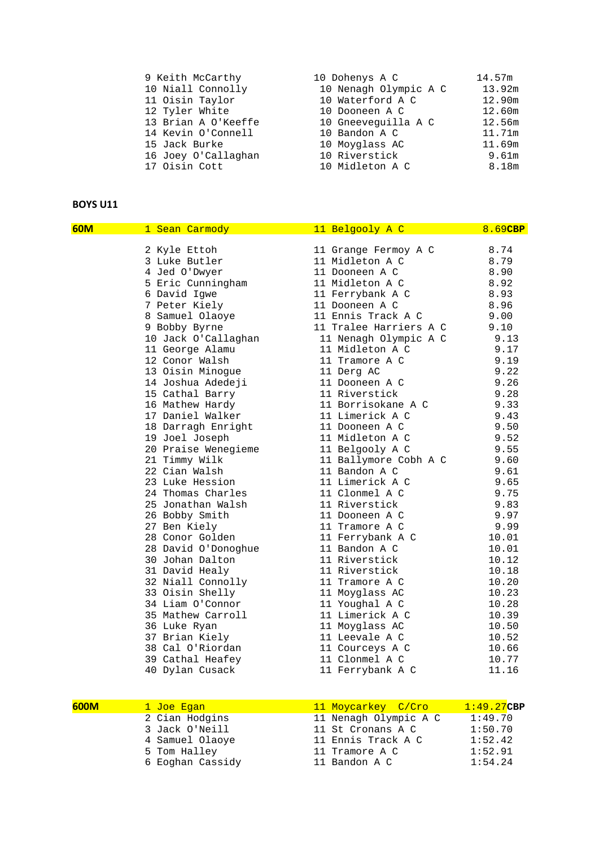| 9 Keith McCarthy    | 10 Dohenys A C        | 14.57m |  |
|---------------------|-----------------------|--------|--|
| 10 Niall Connolly   | 10 Nenagh Olympic A C | 13.92m |  |
| 11 Oisin Taylor     | 10 Waterford A C      | 12.90m |  |
| 12 Tyler White      | 10 Dooneen A C        | 12.60m |  |
| 13 Brian A O'Keeffe | 10 Gneeveguilla A C   | 12.56m |  |
| 14 Kevin O'Connell  | 10 Bandon A C         | 11.71m |  |
| 15 Jack Burke       | 10 Moyglass AC        | 11.69m |  |
| 16 Joey O'Callaghan | 10 Riverstick         | 9.61m  |  |
| 17 Oisin Cott       | 10 Midleton A C       | 8.18m  |  |
|                     |                       |        |  |

| 60M | 1 Sean Carmody      | 11 Belgooly A C        | 8.69CBP |
|-----|---------------------|------------------------|---------|
|     | 2 Kyle Ettoh        | 11 Grange Fermoy A C   | 8.74    |
|     | 3 Luke Butler       | 11 Midleton A C        | 8.79    |
|     | 4 Jed O'Dwyer       | 11 Dooneen A C         | 8.90    |
|     | 5 Eric Cunningham   | 11 Midleton A C        | 8.92    |
|     | 6 David Igwe        | 11 Ferrybank A C       | 8.93    |
|     | 7 Peter Kiely       | 11 Dooneen A C         | 8.96    |
|     | 8 Samuel Olaoye     | 11 Ennis Track A C     | 9.00    |
|     | 9 Bobby Byrne       | 11 Tralee Harriers A C | 9.10    |
|     | 10 Jack O'Callaghan | 11 Nenagh Olympic A C  | 9.13    |
|     | 11 George Alamu     | 11 Midleton A C        | 9.17    |
|     | 12 Conor Walsh      | 11 Tramore A C         | 9.19    |
|     | 13 Oisin Minogue    | 11 Derg AC             | 9.22    |
|     | 14 Joshua Adedeji   | 11 Dooneen A C         | 9.26    |
|     | 15 Cathal Barry     | 11 Riverstick          | 9.28    |
|     | 16 Mathew Hardy     | 11 Borrisokane A C     | 9.33    |
|     | 17 Daniel Walker    | 11 Limerick A C        | 9.43    |
|     | 18 Darragh Enright  | 11 Dooneen A C         | 9.50    |
|     | 19 Joel Joseph      | 11 Midleton A C        | 9.52    |
|     | 20 Praise Wenegieme | 11 Belgooly A C        | 9.55    |
|     | 21 Timmy Wilk       | 11 Ballymore Cobh A C  | 9.60    |
|     | 22 Cian Walsh       | 11 Bandon A C          | 9.61    |
|     | 23 Luke Hession     | 11 Limerick A C        | 9.65    |
|     | 24 Thomas Charles   | 11 Clonmel A C         | 9.75    |
|     | 25 Jonathan Walsh   | 11 Riverstick          | 9.83    |
|     | 26 Bobby Smith      | 11 Dooneen A C         | 9.97    |
|     | 27 Ben Kiely        | 11 Tramore A C         | 9.99    |
|     | 28 Conor Golden     | 11 Ferrybank A C       | 10.01   |
|     | 28 David O'Donoghue | 11 Bandon A C          | 10.01   |
|     | 30 Johan Dalton     | 11 Riverstick          | 10.12   |
|     | 31 David Healy      | 11 Riverstick          | 10.18   |
|     | 32 Niall Connolly   | 11 Tramore A C         | 10.20   |
|     | 33 Oisin Shelly     | 11 Moyglass AC         | 10.23   |
|     | 34 Liam O'Connor    | 11 Youghal A C         | 10.28   |
|     | 35 Mathew Carroll   | 11 Limerick A C        | 10.39   |
|     | 36 Luke Ryan        | 11 Moyglass AC         | 10.50   |
|     | 37 Brian Kiely      | 11 Leevale A C         | 10.52   |
|     | 38 Cal O'Riordan    | 11 Courceys A C        | 10.66   |
|     | 39 Cathal Heafey    | 11 Clonmel A C         | 10.77   |
|     | 40 Dylan Cusack     | 11 Ferrybank A C       | 11.16   |

| 600M | <u>l Joe Eqan</u> | 11 Moycarkey C/Cro    | $1:49.27$ CBP |
|------|-------------------|-----------------------|---------------|
|      | 2 Cian Hodgins    | 11 Nenagh Olympic A C | 1:49.70       |
|      | 3 Jack O'Neill    | 11 St Cronans A C     | 1:50.70       |
|      | 4 Samuel Olaoye   | 11 Ennis Track A C    | 1:52.42       |
|      | 5 Tom Halley      | 11 Tramore A C        | 1:52.91       |
|      | 6 Eoghan Cassidy  | 11 Bandon A C         | 1:54.24       |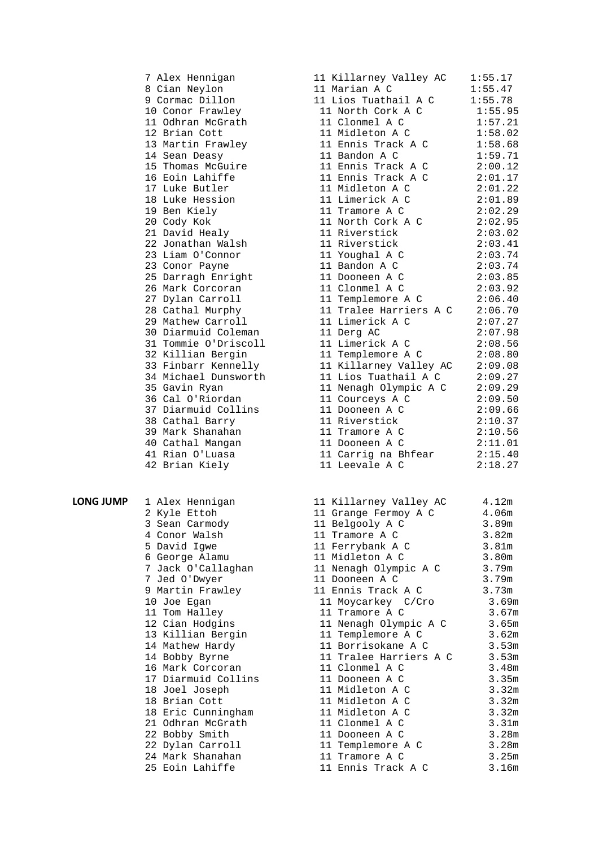7 Alex Hennigan 1<br>8 Cian Nevlon 1:55.17 8 Cian Neylon 11<br>9 Cormac Dillon 1 9 Cormac Dillon 12 Brian Cott 17 Luke Butler 22 Jonathan Walsh 34 Michael Dunsworth 39 Mark Shanahan 42 Brian Kiely 11 Leevale A C 2:18.27 **LONG JUMP** 1 Alex Hennigan

| 2 Kyle Ettoh        |
|---------------------|
| 3 Sean Carmody      |
| 4 Conor Walsh       |
| 5 David Igwe        |
| 6 George Alamu      |
| 7 Jack O'Callaghan  |
| 7 Jed O'Dwyer       |
| 9 Martin Frawley    |
| 10 Joe Egan         |
| 11 Tom Halley       |
| 12 Cian Hodgins     |
| 13 Killian Bergin   |
| 14 Mathew Hardy     |
| 14 Bobby Byrne      |
| 16 Mark Corcoran    |
| 17 Diarmuid Collins |
| 18 Joel Joseph      |
| 18 Brian Cott       |
| 18 Eric Cunningham  |
| 21 Odhran McGrath   |
| 22 Bobby Smith      |
| 22 Dylan Carroll    |
| 24 Mark Shanahan    |
| 25 Eoin Lahiffe     |

| 7 Alex Hennigan      | 11 Killarney Valley AC      | 1:55.17  |
|----------------------|-----------------------------|----------|
| 8 Cian Neylon        | 11 Marian A C               | 1:55.47  |
| 9 Cormac Dillon      | 11 Lios Tuathail A C        | 1:55.78  |
| 10 Conor Frawley     | 11 North Cork A C           | 1:55.95  |
| 11 Odhran McGrath    | 11 Clonmel A C              | 1:57.21  |
| 12 Brian Cott        | 11 Midleton A C             | 1:58.02  |
| 13 Martin Frawley    | 11 Ennis Track A C          | 1:58.68  |
| 14 Sean Deasy        | 11 Bandon A C               | 1:59.71  |
| 15 Thomas McGuire    | 11 Ennis Track A C          | 2:00.12  |
| 16 Eoin Lahiffe      | 11 Ennis Track A C          | 2:01.17  |
| 17 Luke Butler       | 11 Midleton A C             | 2:01.22  |
| 18 Luke Hession      | 11 Limerick A C             | 2:01.89  |
| 19 Ben Kiely         | 11 Tramore A C              | 2:02.29  |
| 20 Cody Kok          | 11 North Cork A C           | 2:02.95  |
| 21 David Healy       | 11 Riverstick               | 2:03.02  |
| 22 Jonathan Walsh    | 11 Riverstick               | 2:03.41  |
| 23 Liam O'Connor     | 11 Youghal A C              | 2:03.74  |
| 23 Conor Payne       | 11 Bandon A C               | 2:03.74  |
| 25 Darragh Enright   | 11 Dooneen A C              | 2:03.85  |
| 26 Mark Corcoran     | 11 Clonmel A C              | 2:03.92  |
| 27 Dylan Carroll     | 11 Templemore A C           | 2:06.40  |
| 28 Cathal Murphy     | 11 Tralee Harriers A C      | 2:06.70  |
| 29 Mathew Carroll    | 11 Limerick A C             | 2:07.27  |
| 30 Diarmuid Coleman  | 11 Derg AC                  | 2:07.98  |
| 31 Tommie O'Driscoll | 11 Limerick A C             | 2:08.56  |
| 32 Killian Bergin    | 11 Templemore A C           | 2:08.80  |
| 33 Finbarr Kennelly  | 11 Killarney Valley AC      | 2:09.08  |
| 34 Michael Dunsworth | 11 Lios Tuathail A C        | 2:09.27  |
| 35 Gavin Ryan        | 11 Nenagh Olympic A C       | 2:09.29  |
| 36 Cal O'Riordan     | 11 Courceys A C             | 2:09.50  |
| 37 Diarmuid Collins  | 11 Dooneen A C              | 2:09.66  |
| 38 Cathal Barry      | 11 Riverstick               | 2:10.37  |
| 39 Mark Shanahan     | 11 Tramore A C              | 2:10.56  |
| 40 Cathal Mangan     | 11 Dooneen A C              | 2:11.01  |
| 41 Rian O'Luasa      | 11 Carrig na Bhfear         | 2:15.40  |
| 12.5                 | $11$ I correlation $\alpha$ | 2.10, 27 |

| 1 Alex Hennigan                                          | 11 Killarney Valley AC       | 4.12m |  |
|----------------------------------------------------------|------------------------------|-------|--|
| 2 Kyle Ettoh                                             | 11 Grange Fermoy A C         | 4.06m |  |
| 3 Sean Carmody                                           | 11 Belgooly A C 3.89m        |       |  |
| 4 Conor Walsh                                            | 11 Tramore A C               | 3.82m |  |
| 5 David Iqwe                                             | 11 Ferrybank A C 3.81m       |       |  |
| 6 George Alamu                                           | 11 Midleton A C              | 3.80m |  |
| 7 Jack O'Callaghan                                       | 11 Nenagh Olympic A C 3.79m  |       |  |
| 7 Jed O'Dwyer                                            | 11 Dooneen A C<br>3.79m      |       |  |
| 9 Martin Frawley                                         | 11 Ennis Track A C 3.73m     |       |  |
| 10 Joe Egan                                              | 11 Moycarkey C/Cro 3.69m     |       |  |
| 11 Tom Halley                                            | 11 Tramore A C               | 3.67m |  |
| 12 Cian Hodgins                                          | 11 Nenagh Olympic A C 3.65m  |       |  |
| 13 Killian Bergin                                        | 11 Templemore A C 3.62m      |       |  |
| 14 Mathew Hardy                                          | 11 Borrisokane A C 3.53m     |       |  |
| 14 Bobby Byrne                                           | 11 Tralee Harriers A C 3.53m |       |  |
| 16 Mark Corcoran                                         | 11 Clonmel A C               | 3.48m |  |
| 17 Diarmuid Collins                       11 Dooneen A C |                              | 3.35m |  |
| 18 Joel Joseph                                           | 11 Midleton A C              | 3.32m |  |
| 18 Brian Cott                                            | 11 Midleton A C              | 3.32m |  |
| 18 Eric Cunningham                       11 Midleton A C |                              | 3.32m |  |
| 21 Odhran McGrath                                        | 11 Clonmel A C               | 3.31m |  |
| 22 Bobby Smith                                           | 11 Dooneen A C               | 3.28m |  |
| 22 Dylan Carroll                                         | 11 Templemore A C            | 3.28m |  |
| 24 Mark Shanahan                                         | 11 Tramore A C               | 3.25m |  |
| 25 Eoin Lahiffe                                          | 11 Ennis Track A C           | 3.16m |  |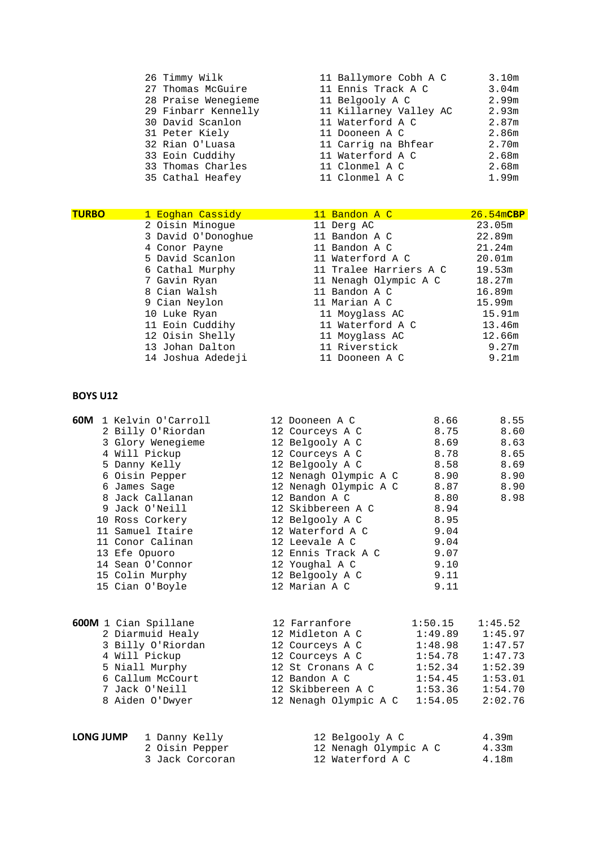- 
- 
- 
- 
- 
- 
- 
- 
- 26 Timmy Wilk 11 Ballymore Cobh A C 3.10m<br>27 Thomas McGuire 11 Ennis Track A C 3.04m 22 Thomas McGuire 1<br>11 Ennis Track A C 3.04m<br>11 Belgooly A C 3.99m 28 Praise Wenegieme 11 Belgooly A C 2.99m<br>29 Finbarr Kennelly 11 Killarney Valley AC 2.93m 29 Finbarr Kennelly 11 Killarney Valley AC 2.93m<br>30 David Scanlon 11 Waterford A C 2.87m 11 Waterford A C  $2.87$ m<br>11 Dooneen A C  $2.86$ m 31 Peter Kiely 11 Dooneen A C 2.86m 11 Carrig na Bhfear 33 Eoin Cuddihy 11 Waterford A C 2.68m 33 Thomas Charles 11 Clonmel A C 2.68m<br>35 Cathal Heafey 11 Clonmel A C 2.99m 35 Cathal Heafey 11 Clonmel A C 1.99m

| <b>TURBO</b> | 1 Eoghan Cassidy   | 11 Bandon A C          | $26.54m$ CBP |
|--------------|--------------------|------------------------|--------------|
|              | 2 Oisin Minoque    | 11 Derg AC             | 23.05m       |
|              | 3 David O'Donoghue | 11 Bandon A C          | 22.89m       |
|              | 4 Conor Payne      | 11 Bandon A C          | 21.24m       |
|              | 5 David Scanlon    | 11 Waterford A C       | 20.01m       |
|              | 6 Cathal Murphy    | 11 Tralee Harriers A C | 19.53m       |
|              | 7 Gavin Ryan       | 11 Nenagh Olympic A C  | 18.27m       |
|              | 8 Cian Walsh       | 11 Bandon A C          | 16.89m       |
|              | 9 Cian Neylon      | 11 Marian A C          | 15.99m       |
|              | 10 Luke Ryan       | 11 Moyglass AC         | 15.91m       |
|              | 11 Eoin Cuddihy    | 11 Waterford A C       | 13.46m       |
|              | 12 Oisin Shelly    | 11 Moyglass AC         | 12.66m       |
|              | 13 Johan Dalton    | 11 Riverstick          | 9.27m        |
|              | 14 Joshua Adedeji  | 11 Dooneen A C         | 9.21m        |

|                  | 60M 1 Kelvin O'Carroll<br>2 Billy O'Riordan<br>3 Glory Wenegieme<br>4 Will Pickup<br>5 Danny Kelly<br>6 Oisin Pepper<br>6 James Saqe<br>8 Jack Callanan<br>9 Jack O'Neill<br>10 Ross Corkery<br>11 Samuel Itaire<br>11 Conor Calinan<br>13 Efe Opuoro<br>14 Sean O'Connor<br>15 Colin Murphy | 12 Dooneen A C<br>12 Courceys A C<br>12 Belgooly A C<br>12 Courceys A C 8.78 8.65<br>12 Belgooly A C<br>12 Nenagh Olympic A C 8.90 8.90<br>12 Nenagh Olympic A C 8.87 8.90<br>12 Bandon A C<br>12 Skibbereen A C<br>12 Belgooly A C<br>12 Waterford A C<br>12 Leevale A C<br>12 Ennis Track A C 9.07<br>12 Youghal A C<br>12 Belgooly A C                                                                                                      | 8.66<br>8.75<br>8.69<br>8.58<br>8.80<br>8.94<br>8.95<br>9.04<br>9.04<br>9.10<br>9.11                     | 8.55<br>8.60<br>8.63<br>8.69<br>8.98                                      |  |
|------------------|----------------------------------------------------------------------------------------------------------------------------------------------------------------------------------------------------------------------------------------------------------------------------------------------|------------------------------------------------------------------------------------------------------------------------------------------------------------------------------------------------------------------------------------------------------------------------------------------------------------------------------------------------------------------------------------------------------------------------------------------------|----------------------------------------------------------------------------------------------------------|---------------------------------------------------------------------------|--|
|                  | 15 Cian O'Boyle<br>600M 1 Cian Spillane<br>2 Diarmuid Healy<br>3 Billy O'Riordan<br>4 Will Pickup<br>5 Niall Murphy<br>6 Callum McCourt<br>7 Jack O'Neill<br>8 Aiden O'Dwyer                                                                                                                 | 12 Marian A C<br>12 Farranfore<br>12 Midleton A C<br>12 Courceys A C<br>12 Courceys A C<br>12 St Cronans A C<br>12 Bandon A C<br>12 Skibbereen A C<br>12 Nenagh Olympic A C                                                                                                                                                                                                                                                                    | 9.11<br>1:50.15<br>1:49.89<br>$1:48.98$ $1:47.57$<br>1:54.78<br>1:52.34<br>1:54.45<br>1:53.36<br>1:54.05 | 1:45.52<br>1:45.97<br>1:47.73<br>1:52.39<br>1:53.01<br>1:54.70<br>2:02.76 |  |
| <b>LONG JUMP</b> | 1 Danny Kelly                                                                                                                                                                                                                                                                                | 12 Belgooly A C<br>$10.35 \times 10^{-1} \times 10^{-1} \times 10^{-1} \times 10^{-1} \times 10^{-1} \times 10^{-1} \times 10^{-1} \times 10^{-1} \times 10^{-1} \times 10^{-1} \times 10^{-1} \times 10^{-1} \times 10^{-1} \times 10^{-1} \times 10^{-1} \times 10^{-1} \times 10^{-1} \times 10^{-1} \times 10^{-1} \times 10^{-1} \times 10^{-1} \times 10^{-1} \times 10^{-1} \times 10^{-1} \times 10^{-1} \times 10^{-1} \times 10^{-1$ |                                                                                                          | 4.39m                                                                     |  |

2 Oisin Pepper 12 Nenagh Olympic A C 4.33m<br>3 Jack Corcoran 12 Waterford A C 4.18m 12 Waterford A C 4.18m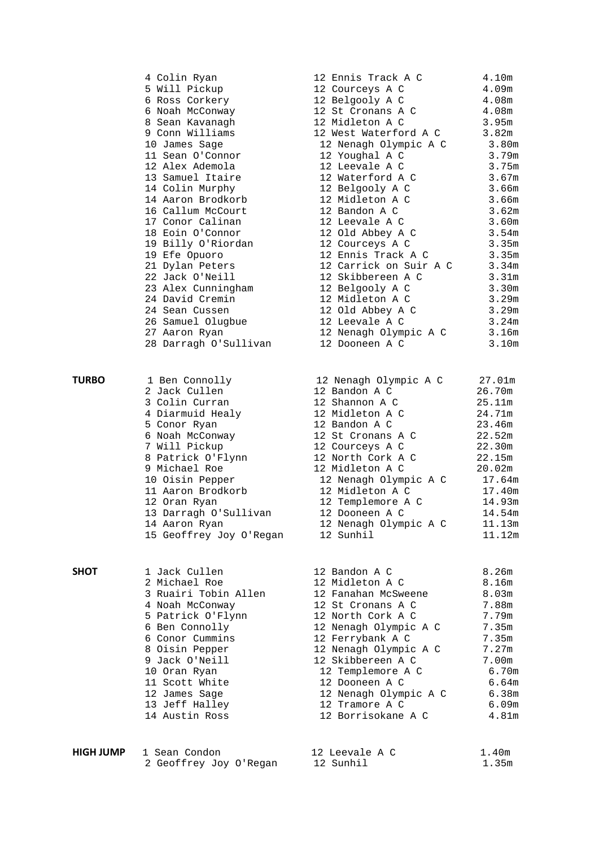|              | 4 Colin Ryan<br>5 Will Pickup<br>6 Ross Corkery<br>6 Noah McConway<br>8 Sean Kavanagh<br>9 Conn Williams<br>10 James Sage<br>11 Sean O'Connor<br>12 Alex Ademola<br>13 Samuel Itaire<br>14 Colin Murphy<br>14 Aaron Brodkorb<br>16 Callum McCourt<br>17 Conor Calinan<br>18 Eoin O'Connor<br>19 Billy O'Riordan<br>19 Efe Opuoro<br>21 Dylan Peters<br>22 Jack O'Neill<br>23 Alex Cunningham<br>24 David Cremin<br>24 Sean Cussen<br>26 Samuel Olugbue<br>27 Aaron Ryan<br>28 Darragh O'Sullivan | 12 Ennis Track A C<br>12 Courceys A C<br>12 Belgooly A C<br>12 St Cronans A C<br>12 Midleton A C<br>12 West Waterford A C<br>12 Nenagh Olympic A C 3.80m<br>12 Youghal A C<br>12 Leevale A C<br>12 Waterford A C<br>12 Belgooly A C<br>12 Midleton A C<br>12 Bandon A C<br>12 Leevale A C<br>12 Old Abbey A C<br>12 Courceys A C<br>12 Ennis Track A C<br>12 Carrick on Suir A C<br>12 Skibbereen A C<br>12 Belgooly A C<br>12 Midleton A C<br>12 Old Abbey A C<br>12 Leevale A C<br>12 Nenagh Olympic A C<br>12 Dooneen A C | 4.10m<br>4.09m<br>4.08m<br>4.08m<br>3.95m<br>3.82m<br>3.79m<br>3.75m<br>3.67m<br>3.66m<br>3.66m<br>3.62m<br>3.60m<br>3.54m<br>3.35m<br>3.35m<br>3.34m<br>3.31 <sub>m</sub><br>3.30 <sub>m</sub><br>3.29m<br>3.29m<br>3.24m<br>3.16m<br>3.10m |  |
|--------------|--------------------------------------------------------------------------------------------------------------------------------------------------------------------------------------------------------------------------------------------------------------------------------------------------------------------------------------------------------------------------------------------------------------------------------------------------------------------------------------------------|------------------------------------------------------------------------------------------------------------------------------------------------------------------------------------------------------------------------------------------------------------------------------------------------------------------------------------------------------------------------------------------------------------------------------------------------------------------------------------------------------------------------------|----------------------------------------------------------------------------------------------------------------------------------------------------------------------------------------------------------------------------------------------|--|
| <b>TURBO</b> | 1 Ben Connolly<br>2 Jack Cullen<br>3 Colin Curran<br>4 Diarmuid Healy<br>5 Conor Ryan<br>6 Noah McConway<br>7 Will Pickup<br>8 Patrick O'Flynn<br>9 Michael Roe<br>10 Oisin Pepper<br>11 Aaron Brodkorb<br>12 Oran Ryan<br>13 Darragh O'Sullivan<br>14 Aaron Ryan<br>15 Geoffrey Joy O'Regan                                                                                                                                                                                                     | 12 Nenagh Olympic A C<br>12 Bandon A C<br>12 Shannon A C<br>12 Midleton A C<br>12 Bandon A C<br>12 St Cronans A C<br>12 Courceys A C<br>12 North Cork A C<br>12 Midleton A C<br>12 Nenagh Olympic A C<br>12 Midleton A C<br>12 Templemore A C<br>12 Dooneen A C<br>12 Nenagh Olympic A C<br>12 Sunhil                                                                                                                                                                                                                        | 27.01m<br>26.70m<br>25.11m<br>24.71m<br>23.46m<br>22.52m<br>22.30m<br>22.15m<br>20.02m<br>17.64m<br>17.40m<br>14.93m<br>14.54m<br>11.13m<br>11.12m                                                                                           |  |
| SHOT         | 1 Jack Cullen<br>2 Michael Roe<br>3 Ruairi Tobin Allen<br>4 Noah McConway<br>5 Patrick O'Flynn<br>6 Ben Connolly<br>6 Conor Cummins<br>8 Oisin Pepper<br>9 Jack O'Neill<br>10 Oran Ryan<br>11 Scott White<br>12 James Sage<br>13 Jeff Halley<br>14 Austin Ross                                                                                                                                                                                                                                   | 12 Bandon A C<br>12 Midleton A C<br>12 Fanahan McSweene<br>12 St Cronans A C<br>12 North Cork A C<br>12 Nenagh Olympic A C<br>12 Ferrybank A C<br>12 Nenagh Olympic A C<br>12 Skibbereen A C<br>12 Templemore A C<br>12 Dooneen A C<br>12 Nenagh Olympic A C<br>12 Tramore A C<br>12 Borrisokane A C                                                                                                                                                                                                                         | 8.26 <sub>m</sub><br>8.16m<br>8.03 <sub>m</sub><br>7.88m<br>7.79m<br>7.35m<br>7.35m<br>7.27m<br>7.00m<br>6.70m<br>6.64m<br>6.38m<br>6.09m<br>4.81m                                                                                           |  |
| HIGH JUMP    | 1 Sean Condon<br>2 Geoffrey Joy O'Regan                                                                                                                                                                                                                                                                                                                                                                                                                                                          | 12 Leevale A C<br>12 Sunhil                                                                                                                                                                                                                                                                                                                                                                                                                                                                                                  | 1.40m<br>1.35m                                                                                                                                                                                                                               |  |

| é, | EIIIIIS ILACA A C     | <b>±.⊥∪</b> щ |
|----|-----------------------|---------------|
|    | ? Courceys A C        | 4.09m         |
|    | Belgooly A C          | 4.08m         |
|    | St Cronans A C        | 4.08m         |
|    | Midleton A C          | 3.95m         |
|    | West Waterford A C    | 3.82m         |
|    | .2 Nenagh Olympic A C | 3.80m         |
|    | .2 Youghal A C        | 3.79m         |
|    | .2 Leevale A C        | 3.75m         |
|    | .2 Waterford A C      | 3.67m         |
|    | .2 Belgooly A C       | 3.66m         |
|    | .2 Midleton A C       | 3.66m         |
|    | .2 Bandon A C         | 3.62m         |
|    | .2 Leevale A C        | 3.60m         |
|    | .2 Old Abbey A C      | 3.54m         |
|    | 2 Courceys A C        | 3.35m         |
|    | .2 Ennis Track A C    | 3.35m         |
|    | 2 Carrick on Suir A C | 3.34m         |
|    | .2 Skibbereen A C     | 3.31m         |
|    | .2 Belgooly A C       | 3.30m         |
|    | .2 Midleton A C       | 3.29m         |
|    | .2 Old Abbey A C      | 3.29m         |
|    | .2 Leevale A C        | 3.24m         |
|    | 2 Nenagh Olympic A C  | 3.16m         |
|    | .2 Dooneen A C        | 3.10m         |
|    |                       |               |

| 12 Nenagh Olympic A C | 27.01m |
|-----------------------|--------|
| 12 Bandon A C         | 26.70m |
| 12 Shannon A C        | 25.11m |
| 12 Midleton A C       | 24.71m |
| 12 Bandon A C         | 23.46m |
| 12 St Cronans A C     | 22.52m |
| 12 Courceys A C       | 22.30m |
| 12 North Cork A C     | 22.15m |
| 12 Midleton A C       | 20.02m |
| 12 Nenagh Olympic A C | 17.64m |
| 12 Midleton A C       | 17.40m |
| 12 Templemore A C     | 14.93m |
| 12 Dooneen A C        | 14.54m |
| 12 Nenagh Olympic A C | 11.13m |
| 12 Sunhil             | 11.12m |

| 12 Bandon A C         | 8.26m |
|-----------------------|-------|
| 12 Midleton A C       | 8.16m |
| 12 Fanahan McSweene   | 8.03m |
| 12 St Cronans A C     | 7.88m |
| 12 North Cork A C     | 7.79m |
| 12 Nenagh Olympic A C | 7.35m |
| 12 Ferrybank A C      | 7.35m |
| 12 Nenagh Olympic A C | 7.27m |
| 12 Skibbereen A C     | 7.00m |
| 12 Templemore A C     | 6.70m |
| 12 Dooneen A C        | 6.64m |
| 12 Nenagh Olympic A C | 6.38m |
| 12 Tramore A C        | 6.09m |
| 12 Borrisokane A C    | 4.81m |
|                       |       |

| 12 Leevale A C |  | 1.40m |
|----------------|--|-------|
| 12 Sunhil      |  | 1.35m |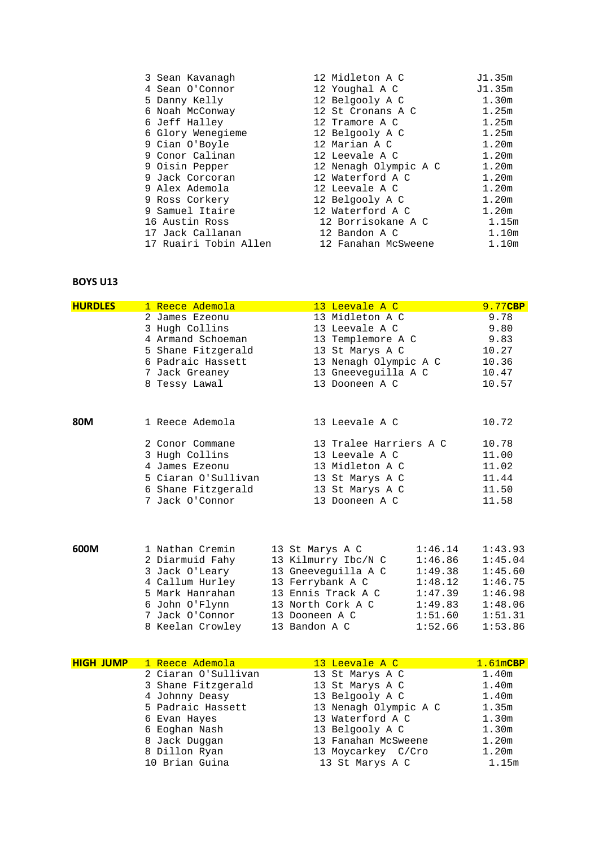| 3 Sean Kavanagh       | 12 Midleton A C       | J1.35m            |
|-----------------------|-----------------------|-------------------|
| 4 Sean O'Connor       | 12 Youghal A C        | J1.35m            |
| 5 Danny Kelly         | 12 Belgooly A C       | 1.30m             |
| 6 Noah McConway       | 12 St Cronans A C     | 1.25m             |
| 6 Jeff Halley         | 12 Tramore A C        | 1.25m             |
| 6 Glory Wenegieme     | 12 Belgooly A C       | 1.25m             |
| 9 Cian O'Boyle        | 12 Marian A C         | 1.20m             |
| 9 Conor Calinan       | 12 Leevale A C        | 1.20m             |
| 9 Oisin Pepper        | 12 Nenagh Olympic A C | 1.20m             |
| 9 Jack Corcoran       | 12 Waterford A C      | 1.20m             |
| 9 Alex Ademola        | 12 Leevale A C        | 1.20m             |
| 9 Ross Corkery        | 12 Belgooly A C       | 1.20m             |
| 9 Samuel Itaire       | 12 Waterford A C      | 1.20m             |
| 16 Austin Ross        | 12 Borrisokane A C    | 1.15m             |
| 17 Jack Callanan      | 12 Bandon A C         | 1.10 <sub>m</sub> |
| 17 Ruairi Tobin Allen | 12 Fanahan McSweene   | 1.10 <sub>m</sub> |
|                       |                       |                   |

| <b>HURDLES</b> | 1 Reece Ademola     | 13 Leevale A C         | 9.77CBP |
|----------------|---------------------|------------------------|---------|
|                | 2 James Ezeonu      | 13 Midleton A C        | 9.78    |
|                | 3 Hugh Collins      | 13 Leevale A C         | 9.80    |
|                | 4 Armand Schoeman   | 13 Templemore A C      | 9.83    |
|                | 5 Shane Fitzgerald  | 13 St Marys A C        | 10.27   |
|                | 6 Padraic Hassett   | 13 Nenagh Olympic A C  | 10.36   |
|                | 7 Jack Greaney      | 13 Gneeveguilla A C    | 10.47   |
|                | 8 Tessy Lawal       | 13 Dooneen A C         | 10.57   |
| 80M            | 1 Reece Ademola     | 13 Leevale A C         | 10.72   |
|                | 2 Conor Commane     | 13 Tralee Harriers A C | 10.78   |
|                | 3 Hugh Collins      | 13 Leevale A C         | 11.00   |
|                | 4 James Ezeonu      | 13 Midleton A C        | 11.02   |
|                | 5 Ciaran O'Sullivan | 13 St Marys A C        | 11.44   |
|                | 6 Shane Fitzgerald  | 13 St Marys A C        | 11.50   |
|                |                     | 13 Dooneen A C         | 11.58   |

| 600M | 1 Nathan Cremin  | 13 St Marys A C     | 1:46.14 | 1:43.93 |  |
|------|------------------|---------------------|---------|---------|--|
|      | 2 Diarmuid Fahy  | 13 Kilmurry Ibc/N C | 1:46.86 | 1:45.04 |  |
|      | 3 Jack O'Leary   | 13 Gneeveguilla A C | 1:49.38 | 1:45.60 |  |
|      | 4 Callum Hurley  | 13 Ferrybank A C    | 1:48.12 | 1:46.75 |  |
|      | 5 Mark Hanrahan  | 13 Ennis Track A C  | 1:47.39 | 1:46.98 |  |
|      | 6 John O'Flynn   | 13 North Cork A C   | 1:49.83 | 1:48.06 |  |
|      | 7 Jack O'Connor  | 13 Dooneen A C      | 1:51.60 | 1:51.31 |  |
|      | 8 Keelan Crowley | 13 Bandon A C       | 1:52.66 | 1:53.86 |  |

| <b>HIGH JUMP</b> | 1 Reece Ademola     | 13 Leevale A C        | 1.61mCBP          |
|------------------|---------------------|-----------------------|-------------------|
|                  | 2 Ciaran O'Sullivan | 13 St Marys A C       | 1.40 <sub>m</sub> |
|                  | 3 Shane Fitzgerald  | 13 St Marys A C       | 1.40m             |
|                  | 4 Johnny Deasy      | 13 Belgooly A C       | 1.40 <sub>m</sub> |
|                  | 5 Padraic Hassett   | 13 Nenagh Olympic A C | 1.35m             |
|                  | 6 Evan Hayes        | 13 Waterford A C      | 1.30m             |
|                  | 6 Eoghan Nash       | 13 Belgooly A C       | 1.30 <sub>m</sub> |
|                  | 8 Jack Duggan       | 13 Fanahan McSweene   | 1.20 <sub>m</sub> |
|                  | 8 Dillon Ryan       | 13 Moycarkey C/Cro    | 1.20 <sub>m</sub> |
|                  | 10 Brian Guina      | 13 St Marys A C       | 1.15m             |
|                  |                     |                       |                   |